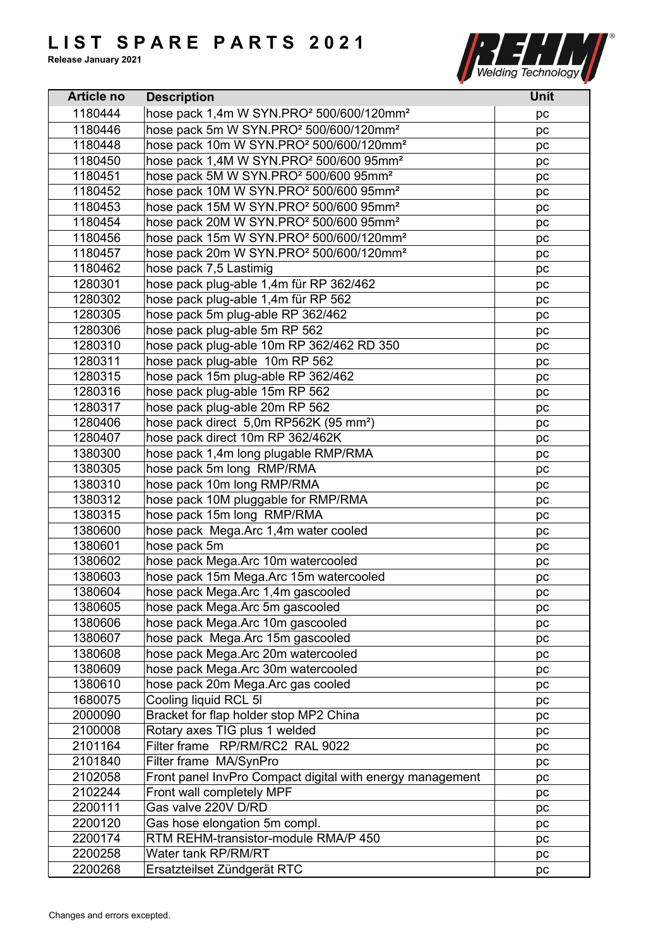

| <b>Article no</b> | <b>Description</b>                                               | <b>Unit</b> |
|-------------------|------------------------------------------------------------------|-------------|
| 1180444           | hose pack 1,4m W SYN.PRO <sup>2</sup> 500/600/120mm <sup>2</sup> | pc          |
| 1180446           | hose pack 5m W SYN.PRO <sup>2</sup> 500/600/120mm <sup>2</sup>   | pc          |
| 1180448           | hose pack 10m W SYN.PRO <sup>2</sup> 500/600/120mm <sup>2</sup>  | pc          |
| 1180450           | hose pack 1,4M W SYN.PRO <sup>2</sup> 500/600 95mm <sup>2</sup>  | pc          |
| 1180451           | hose pack 5M W SYN.PRO <sup>2</sup> 500/600 95mm <sup>2</sup>    | pc          |
| 1180452           | hose pack 10M W SYN.PRO <sup>2</sup> 500/600 95mm <sup>2</sup>   | pc          |
| 1180453           | hose pack 15M W SYN.PRO <sup>2</sup> 500/600 95mm <sup>2</sup>   | рc          |
| 1180454           | hose pack 20M W SYN.PRO <sup>2</sup> 500/600 95mm <sup>2</sup>   | pc          |
| 1180456           | hose pack 15m W SYN.PRO <sup>2</sup> 500/600/120mm <sup>2</sup>  | pc          |
| 1180457           | hose pack 20m W SYN.PRO <sup>2</sup> 500/600/120mm <sup>2</sup>  | pc          |
| 1180462           | hose pack 7,5 Lastimig                                           | pc          |
| 1280301           | hose pack plug-able 1,4m für RP 362/462                          | pc          |
| 1280302           | hose pack plug-able 1,4m für RP 562                              | pc          |
| 1280305           | hose pack 5m plug-able RP 362/462                                | pc          |
| 1280306           | hose pack plug-able 5m RP 562                                    | pc          |
| 1280310           | hose pack plug-able 10m RP 362/462 RD 350                        | pc          |
| 1280311           | hose pack plug-able 10m RP 562                                   | pc          |
| 1280315           | hose pack 15m plug-able RP 362/462                               | pc          |
| 1280316           | hose pack plug-able 15m RP 562                                   |             |
| 1280317           | hose pack plug-able 20m RP 562                                   | рc<br>pc    |
| 1280406           | hose pack direct 5,0m RP562K (95 mm <sup>2</sup> )               |             |
| 1280407           | hose pack direct 10m RP 362/462K                                 | pc          |
| 1380300           | hose pack 1,4m long plugable RMP/RMA                             | pc          |
|                   |                                                                  | pc          |
| 1380305           | hose pack 5m long RMP/RMA                                        | pc          |
| 1380310           | hose pack 10m long RMP/RMA                                       | рc          |
| 1380312           | hose pack 10M pluggable for RMP/RMA                              | pc          |
| 1380315           | hose pack 15m long RMP/RMA                                       | pc          |
| 1380600           | hose pack Mega.Arc 1,4m water cooled                             | pc          |
| 1380601           | hose pack 5m                                                     | pc          |
| 1380602           | hose pack Mega.Arc 10m watercooled                               | pc          |
| 1380603           | hose pack 15m Mega.Arc 15m watercooled                           | pc          |
| 1380604           | hose pack Mega.Arc 1,4m gascooled                                | pc          |
| 1380605           | hose pack Mega.Arc 5m gascooled                                  | рc          |
| 1380606           | hose pack Mega.Arc 10m gascooled                                 | pc          |
| 1380607           | hose pack Mega.Arc 15m gascooled                                 | pc          |
| 1380608           | hose pack Mega.Arc 20m watercooled                               | pc          |
| 1380609           | hose pack Mega.Arc 30m watercooled                               | pc          |
| 1380610           | hose pack 20m Mega. Arc gas cooled                               | pc          |
| 1680075           | Cooling liquid RCL 5I                                            | pc          |
| 2000090           | Bracket for flap holder stop MP2 China                           | рc          |
| 2100008           | Rotary axes TIG plus 1 welded                                    | pc          |
| 2101164           | Filter frame RP/RM/RC2 RAL 9022                                  | pc          |
| 2101840           | Filter frame MA/SynPro                                           | рc          |
| 2102058           | Front panel InvPro Compact digital with energy management        | pc          |
| 2102244           | Front wall completely MPF                                        | pc          |
| 2200111           | Gas valve 220V D/RD                                              | pc          |
| 2200120           | Gas hose elongation 5m compl.                                    | pc          |
| 2200174           | RTM REHM-transistor-module RMA/P 450                             | pc          |
| 2200258           | Water tank RP/RM/RT                                              | pc          |
| 2200268           | Ersatzteilset Zündgerät RTC                                      | pc          |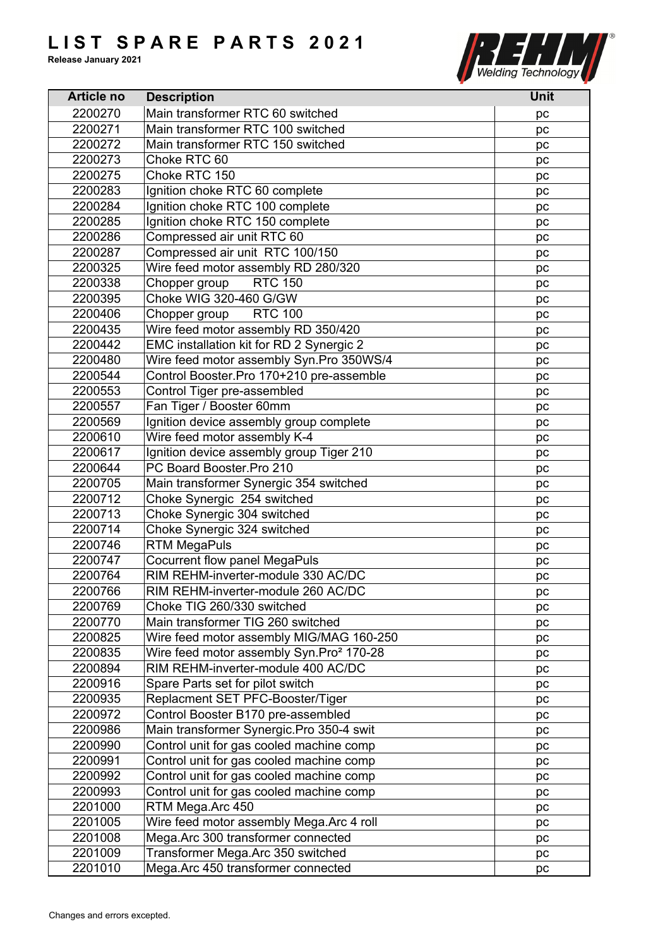

| <b>Article no</b> | <b>Description</b>                                   | <b>Unit</b> |
|-------------------|------------------------------------------------------|-------------|
| 2200270           | Main transformer RTC 60 switched                     | рc          |
| 2200271           | Main transformer RTC 100 switched                    | pc          |
| 2200272           | Main transformer RTC 150 switched                    | pc          |
| 2200273           | Choke RTC 60                                         | pc          |
| 2200275           | Choke RTC 150                                        | рc          |
| 2200283           | Ignition choke RTC 60 complete                       | pc          |
| 2200284           | Ignition choke RTC 100 complete                      | pc          |
| 2200285           | Ignition choke RTC 150 complete                      | pc          |
| 2200286           | Compressed air unit RTC 60                           | pc          |
| 2200287           | Compressed air unit RTC 100/150                      | pc          |
| 2200325           | Wire feed motor assembly RD 280/320                  | pc          |
| 2200338           | <b>RTC 150</b><br>Chopper group                      | pc          |
| 2200395           | Choke WIG 320-460 G/GW                               | pc          |
| 2200406           | Chopper group RTC 100                                |             |
|                   |                                                      | pc          |
| 2200435           | Wire feed motor assembly RD 350/420                  | рc          |
| 2200442           | EMC installation kit for RD 2 Synergic 2             | pc          |
| 2200480           | Wire feed motor assembly Syn.Pro 350WS/4             | pc          |
| 2200544           | Control Booster.Pro 170+210 pre-assemble             | pc          |
| 2200553           | Control Tiger pre-assembled                          | pc          |
| 2200557           | Fan Tiger / Booster 60mm                             | pc          |
| 2200569           | Ignition device assembly group complete              | pc          |
| 2200610           | Wire feed motor assembly K-4                         | pc          |
| 2200617           | Ignition device assembly group Tiger 210             | pc          |
| 2200644           | PC Board Booster.Pro 210                             | pc          |
| 2200705           | Main transformer Synergic 354 switched               | pc          |
| 2200712           | Choke Synergic 254 switched                          | pc          |
| 2200713           | Choke Synergic 304 switched                          | pc          |
| 2200714           | Choke Synergic 324 switched                          | pc          |
| 2200746           | <b>RTM MegaPuls</b>                                  | pc          |
| 2200747           | Cocurrent flow panel MegaPuls                        | pc          |
| 2200764           | RIM REHM-inverter-module 330 AC/DC                   | pc          |
| 2200766           | RIM REHM-inverter-module 260 AC/DC                   | pc          |
| 2200769           | Choke TIG 260/330 switched                           | pc          |
| 2200770           | Main transformer TIG 260 switched                    | pc          |
| 2200825           | Wire feed motor assembly MIG/MAG 160-250             | pc          |
| 2200835           | Wire feed motor assembly Syn.Pro <sup>2</sup> 170-28 | pc          |
| 2200894           | RIM REHM-inverter-module 400 AC/DC                   | рc          |
| 2200916           | Spare Parts set for pilot switch                     | pc          |
| 2200935           | Replacment SET PFC-Booster/Tiger                     | pc          |
| 2200972           | Control Booster B170 pre-assembled                   | рc          |
| 2200986           | Main transformer Synergic.Pro 350-4 swit             | pc          |
| 2200990           | Control unit for gas cooled machine comp             | pc          |
| 2200991           | Control unit for gas cooled machine comp             |             |
| 2200992           | Control unit for gas cooled machine comp             | pc          |
| 2200993           |                                                      | рc          |
|                   | Control unit for gas cooled machine comp             | pc          |
| 2201000           | RTM Mega.Arc 450                                     | pc          |
| 2201005           | Wire feed motor assembly Mega.Arc 4 roll             | рc          |
| 2201008           | Mega.Arc 300 transformer connected                   | pc          |
| 2201009           | Transformer Mega.Arc 350 switched                    | pc          |
| 2201010           | Mega.Arc 450 transformer connected                   | pc          |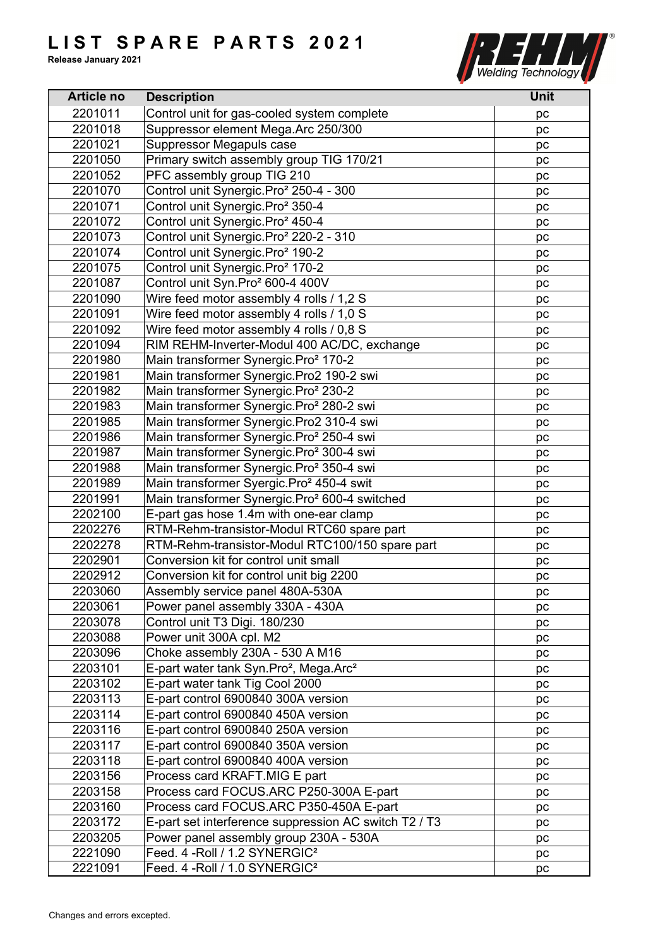

| <b>Article no</b> | <b>Description</b>                                             | <b>Unit</b> |
|-------------------|----------------------------------------------------------------|-------------|
| 2201011           | Control unit for gas-cooled system complete                    | pc          |
| 2201018           | Suppressor element Mega.Arc 250/300                            | pc          |
| 2201021           | Suppressor Megapuls case                                       | pc          |
| 2201050           | Primary switch assembly group TIG 170/21                       | pc          |
| 2201052           | PFC assembly group TIG 210                                     | pc          |
| 2201070           | Control unit Synergic.Pro <sup>2</sup> 250-4 - 300             | pc          |
| 2201071           | Control unit Synergic.Pro <sup>2</sup> 350-4                   | pc          |
| 2201072           | Control unit Synergic.Pro <sup>2</sup> 450-4                   | pc          |
| 2201073           | Control unit Synergic.Pro <sup>2</sup> 220-2 - 310             | pc          |
| 2201074           | Control unit Synergic.Pro <sup>2</sup> 190-2                   | pc          |
| 2201075           | Control unit Synergic.Pro <sup>2</sup> 170-2                   | pc          |
| 2201087           | Control unit Syn.Pro <sup>2</sup> 600-4 400V                   | pc          |
| 2201090           | Wire feed motor assembly 4 rolls / 1,2 S                       | pc          |
| 2201091           | Wire feed motor assembly 4 rolls / 1,0 S                       | pc          |
| 2201092           | Wire feed motor assembly 4 rolls / 0,8 S                       | pc          |
| 2201094           | RIM REHM-Inverter-Modul 400 AC/DC, exchange                    | pc          |
| 2201980           | Main transformer Synergic.Pro <sup>2</sup> 170-2               | pc          |
| 2201981           | Main transformer Synergic.Pro2 190-2 swi                       | pc          |
| 2201982           | Main transformer Synergic.Pro <sup>2</sup> 230-2               | pc          |
| 2201983           | Main transformer Synergic.Pro <sup>2</sup> 280-2 swi           | pc          |
| 2201985           | Main transformer Synergic.Pro2 310-4 swi                       | pc          |
| 2201986           | Main transformer Synergic.Pro <sup>2</sup> 250-4 swi           | pc          |
| 2201987           | Main transformer Synergic.Pro <sup>2</sup> 300-4 swi           | pc          |
| 2201988           | Main transformer Synergic.Pro <sup>2</sup> 350-4 swi           |             |
| 2201989           | Main transformer Syergic.Pro <sup>2</sup> 450-4 swit           | pc          |
| 2201991           |                                                                | pc          |
|                   | Main transformer Synergic.Pro <sup>2</sup> 600-4 switched      | pc          |
| 2202100           | E-part gas hose 1.4m with one-ear clamp                        | pc          |
| 2202276           | RTM-Rehm-transistor-Modul RTC60 spare part                     | pc          |
| 2202278           | RTM-Rehm-transistor-Modul RTC100/150 spare part                | pc          |
| 2202901           | Conversion kit for control unit small                          | pc          |
| 2202912           | Conversion kit for control unit big 2200                       | pc          |
| 2203060           | Assembly service panel 480A-530A                               | pc          |
| 2203061           | Power panel assembly 330A - 430A                               | рc          |
| 2203078           | Control unit T3 Digi. 180/230                                  | рc          |
| 2203088           | Power unit 300A cpl. M2                                        | pc          |
| 2203096           | Choke assembly 230A - 530 A M16                                | рc          |
| 2203101           | E-part water tank Syn.Pro <sup>2</sup> , Mega.Arc <sup>2</sup> | pc          |
| 2203102           | E-part water tank Tig Cool 2000                                | pc          |
| 2203113           | E-part control 6900840 300A version                            | pc          |
| 2203114           | E-part control 6900840 450A version                            | рc          |
| 2203116           | E-part control 6900840 250A version                            | pc          |
| 2203117           | E-part control 6900840 350A version                            | pc          |
| 2203118           | E-part control 6900840 400A version                            | pc          |
| 2203156           | Process card KRAFT.MIG E part                                  | pc          |
| 2203158           | Process card FOCUS.ARC P250-300A E-part                        | pc          |
| 2203160           | Process card FOCUS.ARC P350-450A E-part                        | pc          |
| 2203172           | E-part set interference suppression AC switch T2 / T3          | рc          |
| 2203205           | Power panel assembly group 230A - 530A                         | рc          |
| 2221090           | Feed. 4 - Roll / 1.2 SYNERGIC <sup>2</sup>                     | pc          |
| 2221091           | Feed. 4 - Roll / 1.0 SYNERGIC <sup>2</sup>                     | pc          |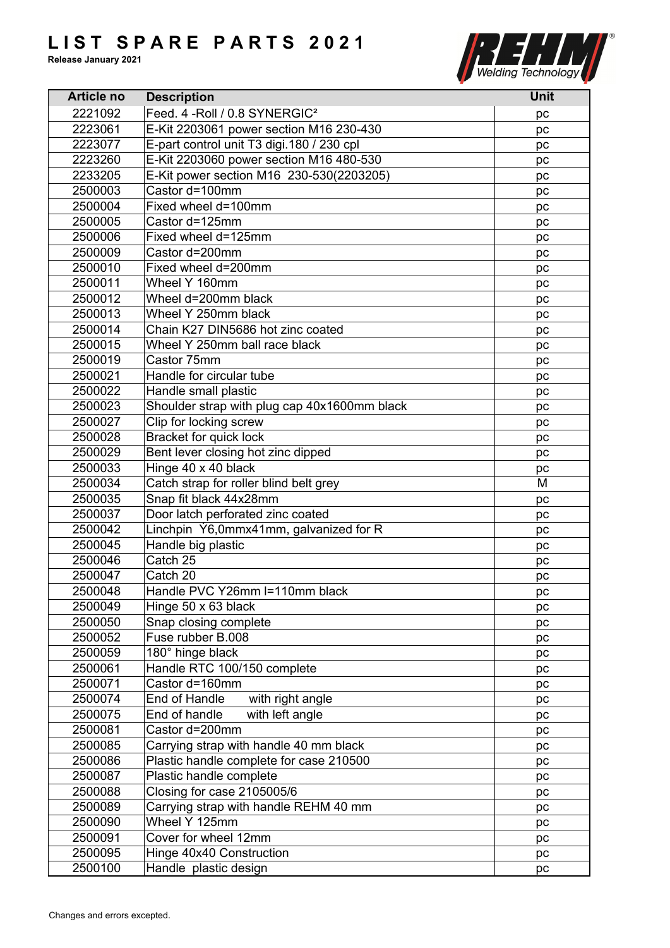

| <b>Article no</b> | <b>Description</b>                           | <b>Unit</b> |
|-------------------|----------------------------------------------|-------------|
| 2221092           | Feed. 4 - Roll / 0.8 SYNERGIC <sup>2</sup>   | pc          |
| 2223061           | E-Kit 2203061 power section M16 230-430      | pc          |
| 2223077           | E-part control unit T3 digi.180 / 230 cpl    | pc          |
| 2223260           | E-Kit 2203060 power section M16 480-530      | pc          |
| 2233205           | E-Kit power section M16 230-530(2203205)     | pc          |
| 2500003           | Castor d=100mm                               | pc          |
| 2500004           | Fixed wheel d=100mm                          | pc          |
| 2500005           | Castor d=125mm                               | pc          |
| 2500006           | Fixed wheel d=125mm                          | pc          |
| 2500009           | Castor d=200mm                               | pc          |
| 2500010           | Fixed wheel d=200mm                          | pc          |
| 2500011           | Wheel Y 160mm                                | pc          |
| 2500012           | Wheel d=200mm black                          | pc          |
| 2500013           | Wheel Y 250mm black                          |             |
|                   |                                              | pc          |
| 2500014           | Chain K27 DIN5686 hot zinc coated            | рc          |
| 2500015           | Wheel Y 250mm ball race black                | pc          |
| 2500019           | Castor 75mm                                  | pc          |
| 2500021           | Handle for circular tube                     | pc          |
| 2500022           | Handle small plastic                         | pc          |
| 2500023           | Shoulder strap with plug cap 40x1600mm black | pc          |
| 2500027           | Clip for locking screw                       | pc          |
| 2500028           | Bracket for quick lock                       | pc          |
| 2500029           | Bent lever closing hot zinc dipped           | pc          |
| 2500033           | Hinge 40 x 40 black                          | pc          |
| 2500034           | Catch strap for roller blind belt grey       | M           |
| 2500035           | Snap fit black 44x28mm                       | pc          |
| 2500037           | Door latch perforated zinc coated            | pc          |
| 2500042           | Linchpin Y6,0mmx41mm, galvanized for R       | рc          |
| 2500045           | Handle big plastic                           | pc          |
| 2500046           | Catch 25                                     | pc          |
| 2500047           | Catch 20                                     | pc          |
| 2500048           | Handle PVC Y26mm I=110mm black               | pc          |
| 2500049           | Hinge 50 x 63 black                          | pc          |
| 2500050           | Snap closing complete                        | pc          |
| 2500052           | Fuse rubber B.008                            | pc          |
| 2500059           | 180° hinge black                             | pc          |
| 2500061           | Handle RTC 100/150 complete                  | pc          |
| 2500071           | Castor d=160mm                               | pc          |
| 2500074           | End of Handle<br>with right angle            | рc          |
| 2500075           | End of handle<br>with left angle             | pc          |
| 2500081           | Castor d=200mm                               | pc          |
| 2500085           | Carrying strap with handle 40 mm black       | pc          |
| 2500086           | Plastic handle complete for case 210500      | pc          |
| 2500087           | Plastic handle complete                      | pc          |
| 2500088           | Closing for case 2105005/6                   | pc          |
| 2500089           | Carrying strap with handle REHM 40 mm        | pc          |
| 2500090           | Wheel Y 125mm                                | рc          |
| 2500091           | Cover for wheel 12mm                         | pc          |
| 2500095           | Hinge 40x40 Construction                     |             |
| 2500100           | Handle plastic design                        | pc          |
|                   |                                              | pc          |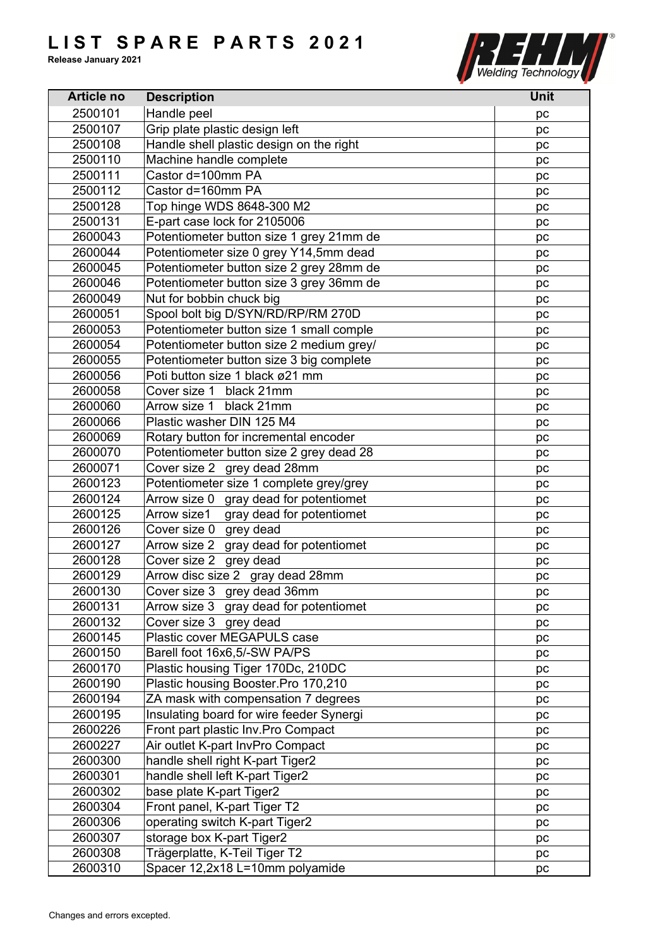

| Handle peel<br>2500101<br>pc<br>Grip plate plastic design left<br>2500107<br>pc<br>Handle shell plastic design on the right<br>2500108<br>pc<br>Machine handle complete<br>2500110<br>pc<br>Castor d=100mm PA<br>2500111<br>pc<br>Castor d=160mm PA<br>2500112<br>pc<br>2500128<br>Top hinge WDS 8648-300 M2<br>pc<br>E-part case lock for 2105006<br>2500131<br>рc<br>Potentiometer button size 1 grey 21mm de<br>2600043<br>pc<br>2600044<br>Potentiometer size 0 grey Y14,5mm dead<br>pc<br>Potentiometer button size 2 grey 28mm de<br>2600045<br>pc<br>Potentiometer button size 3 grey 36mm de<br>2600046<br>pc<br>Nut for bobbin chuck big<br>2600049<br>pc<br>Spool bolt big D/SYN/RD/RP/RM 270D<br>2600051<br>pc<br>Potentiometer button size 1 small comple<br>2600053<br>pc<br>Potentiometer button size 2 medium grey/<br>2600054<br>pc<br>Potentiometer button size 3 big complete<br>2600055<br>pc<br>Poti button size 1 black ø21 mm<br>2600056<br>pc<br>2600058<br>Cover size 1 black 21mm<br>pc<br>Arrow size 1<br>2600060<br>black 21mm<br>pc<br>2600066<br>Plastic washer DIN 125 M4<br>pc<br>2600069<br>Rotary button for incremental encoder<br>pc<br>2600070<br>Potentiometer button size 2 grey dead 28<br>pc<br>Cover size 2 grey dead 28mm<br>2600071<br>pc<br>Potentiometer size 1 complete grey/grey<br>2600123<br>рc<br>Arrow size 0 gray dead for potentiomet<br>2600124<br>pc<br>gray dead for potentiomet<br>2600125<br>Arrow size1<br>pc<br>2600126<br>Cover size 0 grey dead<br>pc<br>Arrow size 2 gray dead for potentiomet<br>2600127<br>pc<br>Cover size 2 grey dead<br>2600128<br>pc<br>Arrow disc size 2 gray dead 28mm<br>2600129<br>pc<br>2600130<br>Cover size 3 grey dead 36mm<br>pc<br>Arrow size 3 gray dead for potentiomet<br>2600131<br>pc<br>2600132<br>Cover size 3 grey dead<br>pc<br>Plastic cover MEGAPULS case<br>2600145<br>pc<br>Barell foot 16x6,5/-SW PA/PS<br>2600150<br>pc<br>Plastic housing Tiger 170Dc, 210DC<br>2600170<br>pc<br>Plastic housing Booster.Pro 170,210<br>2600190<br>pc<br>ZA mask with compensation 7 degrees<br>2600194<br>pc<br>Insulating board for wire feeder Synergi<br>2600195<br>pc<br>2600226<br>Front part plastic Inv. Pro Compact<br>pc<br>Air outlet K-part InvPro Compact<br>2600227<br>pc<br>handle shell right K-part Tiger2<br>2600300<br>pc<br>handle shell left K-part Tiger2<br>2600301<br>pc<br>2600302<br>base plate K-part Tiger2<br>pc<br>2600304<br>Front panel, K-part Tiger T2<br>pc<br>2600306<br>operating switch K-part Tiger2<br>pc<br>2600307<br>storage box K-part Tiger2<br>pc<br>2600308<br>Trägerplatte, K-Teil Tiger T2<br>pc | <b>Article no</b> | <b>Description</b> | <b>Unit</b> |
|--------------------------------------------------------------------------------------------------------------------------------------------------------------------------------------------------------------------------------------------------------------------------------------------------------------------------------------------------------------------------------------------------------------------------------------------------------------------------------------------------------------------------------------------------------------------------------------------------------------------------------------------------------------------------------------------------------------------------------------------------------------------------------------------------------------------------------------------------------------------------------------------------------------------------------------------------------------------------------------------------------------------------------------------------------------------------------------------------------------------------------------------------------------------------------------------------------------------------------------------------------------------------------------------------------------------------------------------------------------------------------------------------------------------------------------------------------------------------------------------------------------------------------------------------------------------------------------------------------------------------------------------------------------------------------------------------------------------------------------------------------------------------------------------------------------------------------------------------------------------------------------------------------------------------------------------------------------------------------------------------------------------------------------------------------------------------------------------------------------------------------------------------------------------------------------------------------------------------------------------------------------------------------------------------------------------------------------------------------------------------------------------------------------------------------------------------------------------------------------------------------------------------------------------------------------------------------------------------------------------------------------------------|-------------------|--------------------|-------------|
|                                                                                                                                                                                                                                                                                                                                                                                                                                                                                                                                                                                                                                                                                                                                                                                                                                                                                                                                                                                                                                                                                                                                                                                                                                                                                                                                                                                                                                                                                                                                                                                                                                                                                                                                                                                                                                                                                                                                                                                                                                                                                                                                                                                                                                                                                                                                                                                                                                                                                                                                                                                                                                                  |                   |                    |             |
|                                                                                                                                                                                                                                                                                                                                                                                                                                                                                                                                                                                                                                                                                                                                                                                                                                                                                                                                                                                                                                                                                                                                                                                                                                                                                                                                                                                                                                                                                                                                                                                                                                                                                                                                                                                                                                                                                                                                                                                                                                                                                                                                                                                                                                                                                                                                                                                                                                                                                                                                                                                                                                                  |                   |                    |             |
|                                                                                                                                                                                                                                                                                                                                                                                                                                                                                                                                                                                                                                                                                                                                                                                                                                                                                                                                                                                                                                                                                                                                                                                                                                                                                                                                                                                                                                                                                                                                                                                                                                                                                                                                                                                                                                                                                                                                                                                                                                                                                                                                                                                                                                                                                                                                                                                                                                                                                                                                                                                                                                                  |                   |                    |             |
|                                                                                                                                                                                                                                                                                                                                                                                                                                                                                                                                                                                                                                                                                                                                                                                                                                                                                                                                                                                                                                                                                                                                                                                                                                                                                                                                                                                                                                                                                                                                                                                                                                                                                                                                                                                                                                                                                                                                                                                                                                                                                                                                                                                                                                                                                                                                                                                                                                                                                                                                                                                                                                                  |                   |                    |             |
|                                                                                                                                                                                                                                                                                                                                                                                                                                                                                                                                                                                                                                                                                                                                                                                                                                                                                                                                                                                                                                                                                                                                                                                                                                                                                                                                                                                                                                                                                                                                                                                                                                                                                                                                                                                                                                                                                                                                                                                                                                                                                                                                                                                                                                                                                                                                                                                                                                                                                                                                                                                                                                                  |                   |                    |             |
|                                                                                                                                                                                                                                                                                                                                                                                                                                                                                                                                                                                                                                                                                                                                                                                                                                                                                                                                                                                                                                                                                                                                                                                                                                                                                                                                                                                                                                                                                                                                                                                                                                                                                                                                                                                                                                                                                                                                                                                                                                                                                                                                                                                                                                                                                                                                                                                                                                                                                                                                                                                                                                                  |                   |                    |             |
|                                                                                                                                                                                                                                                                                                                                                                                                                                                                                                                                                                                                                                                                                                                                                                                                                                                                                                                                                                                                                                                                                                                                                                                                                                                                                                                                                                                                                                                                                                                                                                                                                                                                                                                                                                                                                                                                                                                                                                                                                                                                                                                                                                                                                                                                                                                                                                                                                                                                                                                                                                                                                                                  |                   |                    |             |
|                                                                                                                                                                                                                                                                                                                                                                                                                                                                                                                                                                                                                                                                                                                                                                                                                                                                                                                                                                                                                                                                                                                                                                                                                                                                                                                                                                                                                                                                                                                                                                                                                                                                                                                                                                                                                                                                                                                                                                                                                                                                                                                                                                                                                                                                                                                                                                                                                                                                                                                                                                                                                                                  |                   |                    |             |
|                                                                                                                                                                                                                                                                                                                                                                                                                                                                                                                                                                                                                                                                                                                                                                                                                                                                                                                                                                                                                                                                                                                                                                                                                                                                                                                                                                                                                                                                                                                                                                                                                                                                                                                                                                                                                                                                                                                                                                                                                                                                                                                                                                                                                                                                                                                                                                                                                                                                                                                                                                                                                                                  |                   |                    |             |
|                                                                                                                                                                                                                                                                                                                                                                                                                                                                                                                                                                                                                                                                                                                                                                                                                                                                                                                                                                                                                                                                                                                                                                                                                                                                                                                                                                                                                                                                                                                                                                                                                                                                                                                                                                                                                                                                                                                                                                                                                                                                                                                                                                                                                                                                                                                                                                                                                                                                                                                                                                                                                                                  |                   |                    |             |
|                                                                                                                                                                                                                                                                                                                                                                                                                                                                                                                                                                                                                                                                                                                                                                                                                                                                                                                                                                                                                                                                                                                                                                                                                                                                                                                                                                                                                                                                                                                                                                                                                                                                                                                                                                                                                                                                                                                                                                                                                                                                                                                                                                                                                                                                                                                                                                                                                                                                                                                                                                                                                                                  |                   |                    |             |
|                                                                                                                                                                                                                                                                                                                                                                                                                                                                                                                                                                                                                                                                                                                                                                                                                                                                                                                                                                                                                                                                                                                                                                                                                                                                                                                                                                                                                                                                                                                                                                                                                                                                                                                                                                                                                                                                                                                                                                                                                                                                                                                                                                                                                                                                                                                                                                                                                                                                                                                                                                                                                                                  |                   |                    |             |
|                                                                                                                                                                                                                                                                                                                                                                                                                                                                                                                                                                                                                                                                                                                                                                                                                                                                                                                                                                                                                                                                                                                                                                                                                                                                                                                                                                                                                                                                                                                                                                                                                                                                                                                                                                                                                                                                                                                                                                                                                                                                                                                                                                                                                                                                                                                                                                                                                                                                                                                                                                                                                                                  |                   |                    |             |
|                                                                                                                                                                                                                                                                                                                                                                                                                                                                                                                                                                                                                                                                                                                                                                                                                                                                                                                                                                                                                                                                                                                                                                                                                                                                                                                                                                                                                                                                                                                                                                                                                                                                                                                                                                                                                                                                                                                                                                                                                                                                                                                                                                                                                                                                                                                                                                                                                                                                                                                                                                                                                                                  |                   |                    |             |
|                                                                                                                                                                                                                                                                                                                                                                                                                                                                                                                                                                                                                                                                                                                                                                                                                                                                                                                                                                                                                                                                                                                                                                                                                                                                                                                                                                                                                                                                                                                                                                                                                                                                                                                                                                                                                                                                                                                                                                                                                                                                                                                                                                                                                                                                                                                                                                                                                                                                                                                                                                                                                                                  |                   |                    |             |
|                                                                                                                                                                                                                                                                                                                                                                                                                                                                                                                                                                                                                                                                                                                                                                                                                                                                                                                                                                                                                                                                                                                                                                                                                                                                                                                                                                                                                                                                                                                                                                                                                                                                                                                                                                                                                                                                                                                                                                                                                                                                                                                                                                                                                                                                                                                                                                                                                                                                                                                                                                                                                                                  |                   |                    |             |
|                                                                                                                                                                                                                                                                                                                                                                                                                                                                                                                                                                                                                                                                                                                                                                                                                                                                                                                                                                                                                                                                                                                                                                                                                                                                                                                                                                                                                                                                                                                                                                                                                                                                                                                                                                                                                                                                                                                                                                                                                                                                                                                                                                                                                                                                                                                                                                                                                                                                                                                                                                                                                                                  |                   |                    |             |
|                                                                                                                                                                                                                                                                                                                                                                                                                                                                                                                                                                                                                                                                                                                                                                                                                                                                                                                                                                                                                                                                                                                                                                                                                                                                                                                                                                                                                                                                                                                                                                                                                                                                                                                                                                                                                                                                                                                                                                                                                                                                                                                                                                                                                                                                                                                                                                                                                                                                                                                                                                                                                                                  |                   |                    |             |
|                                                                                                                                                                                                                                                                                                                                                                                                                                                                                                                                                                                                                                                                                                                                                                                                                                                                                                                                                                                                                                                                                                                                                                                                                                                                                                                                                                                                                                                                                                                                                                                                                                                                                                                                                                                                                                                                                                                                                                                                                                                                                                                                                                                                                                                                                                                                                                                                                                                                                                                                                                                                                                                  |                   |                    |             |
|                                                                                                                                                                                                                                                                                                                                                                                                                                                                                                                                                                                                                                                                                                                                                                                                                                                                                                                                                                                                                                                                                                                                                                                                                                                                                                                                                                                                                                                                                                                                                                                                                                                                                                                                                                                                                                                                                                                                                                                                                                                                                                                                                                                                                                                                                                                                                                                                                                                                                                                                                                                                                                                  |                   |                    |             |
|                                                                                                                                                                                                                                                                                                                                                                                                                                                                                                                                                                                                                                                                                                                                                                                                                                                                                                                                                                                                                                                                                                                                                                                                                                                                                                                                                                                                                                                                                                                                                                                                                                                                                                                                                                                                                                                                                                                                                                                                                                                                                                                                                                                                                                                                                                                                                                                                                                                                                                                                                                                                                                                  |                   |                    |             |
|                                                                                                                                                                                                                                                                                                                                                                                                                                                                                                                                                                                                                                                                                                                                                                                                                                                                                                                                                                                                                                                                                                                                                                                                                                                                                                                                                                                                                                                                                                                                                                                                                                                                                                                                                                                                                                                                                                                                                                                                                                                                                                                                                                                                                                                                                                                                                                                                                                                                                                                                                                                                                                                  |                   |                    |             |
|                                                                                                                                                                                                                                                                                                                                                                                                                                                                                                                                                                                                                                                                                                                                                                                                                                                                                                                                                                                                                                                                                                                                                                                                                                                                                                                                                                                                                                                                                                                                                                                                                                                                                                                                                                                                                                                                                                                                                                                                                                                                                                                                                                                                                                                                                                                                                                                                                                                                                                                                                                                                                                                  |                   |                    |             |
|                                                                                                                                                                                                                                                                                                                                                                                                                                                                                                                                                                                                                                                                                                                                                                                                                                                                                                                                                                                                                                                                                                                                                                                                                                                                                                                                                                                                                                                                                                                                                                                                                                                                                                                                                                                                                                                                                                                                                                                                                                                                                                                                                                                                                                                                                                                                                                                                                                                                                                                                                                                                                                                  |                   |                    |             |
|                                                                                                                                                                                                                                                                                                                                                                                                                                                                                                                                                                                                                                                                                                                                                                                                                                                                                                                                                                                                                                                                                                                                                                                                                                                                                                                                                                                                                                                                                                                                                                                                                                                                                                                                                                                                                                                                                                                                                                                                                                                                                                                                                                                                                                                                                                                                                                                                                                                                                                                                                                                                                                                  |                   |                    |             |
|                                                                                                                                                                                                                                                                                                                                                                                                                                                                                                                                                                                                                                                                                                                                                                                                                                                                                                                                                                                                                                                                                                                                                                                                                                                                                                                                                                                                                                                                                                                                                                                                                                                                                                                                                                                                                                                                                                                                                                                                                                                                                                                                                                                                                                                                                                                                                                                                                                                                                                                                                                                                                                                  |                   |                    |             |
|                                                                                                                                                                                                                                                                                                                                                                                                                                                                                                                                                                                                                                                                                                                                                                                                                                                                                                                                                                                                                                                                                                                                                                                                                                                                                                                                                                                                                                                                                                                                                                                                                                                                                                                                                                                                                                                                                                                                                                                                                                                                                                                                                                                                                                                                                                                                                                                                                                                                                                                                                                                                                                                  |                   |                    |             |
|                                                                                                                                                                                                                                                                                                                                                                                                                                                                                                                                                                                                                                                                                                                                                                                                                                                                                                                                                                                                                                                                                                                                                                                                                                                                                                                                                                                                                                                                                                                                                                                                                                                                                                                                                                                                                                                                                                                                                                                                                                                                                                                                                                                                                                                                                                                                                                                                                                                                                                                                                                                                                                                  |                   |                    |             |
|                                                                                                                                                                                                                                                                                                                                                                                                                                                                                                                                                                                                                                                                                                                                                                                                                                                                                                                                                                                                                                                                                                                                                                                                                                                                                                                                                                                                                                                                                                                                                                                                                                                                                                                                                                                                                                                                                                                                                                                                                                                                                                                                                                                                                                                                                                                                                                                                                                                                                                                                                                                                                                                  |                   |                    |             |
|                                                                                                                                                                                                                                                                                                                                                                                                                                                                                                                                                                                                                                                                                                                                                                                                                                                                                                                                                                                                                                                                                                                                                                                                                                                                                                                                                                                                                                                                                                                                                                                                                                                                                                                                                                                                                                                                                                                                                                                                                                                                                                                                                                                                                                                                                                                                                                                                                                                                                                                                                                                                                                                  |                   |                    |             |
|                                                                                                                                                                                                                                                                                                                                                                                                                                                                                                                                                                                                                                                                                                                                                                                                                                                                                                                                                                                                                                                                                                                                                                                                                                                                                                                                                                                                                                                                                                                                                                                                                                                                                                                                                                                                                                                                                                                                                                                                                                                                                                                                                                                                                                                                                                                                                                                                                                                                                                                                                                                                                                                  |                   |                    |             |
|                                                                                                                                                                                                                                                                                                                                                                                                                                                                                                                                                                                                                                                                                                                                                                                                                                                                                                                                                                                                                                                                                                                                                                                                                                                                                                                                                                                                                                                                                                                                                                                                                                                                                                                                                                                                                                                                                                                                                                                                                                                                                                                                                                                                                                                                                                                                                                                                                                                                                                                                                                                                                                                  |                   |                    |             |
|                                                                                                                                                                                                                                                                                                                                                                                                                                                                                                                                                                                                                                                                                                                                                                                                                                                                                                                                                                                                                                                                                                                                                                                                                                                                                                                                                                                                                                                                                                                                                                                                                                                                                                                                                                                                                                                                                                                                                                                                                                                                                                                                                                                                                                                                                                                                                                                                                                                                                                                                                                                                                                                  |                   |                    |             |
|                                                                                                                                                                                                                                                                                                                                                                                                                                                                                                                                                                                                                                                                                                                                                                                                                                                                                                                                                                                                                                                                                                                                                                                                                                                                                                                                                                                                                                                                                                                                                                                                                                                                                                                                                                                                                                                                                                                                                                                                                                                                                                                                                                                                                                                                                                                                                                                                                                                                                                                                                                                                                                                  |                   |                    |             |
|                                                                                                                                                                                                                                                                                                                                                                                                                                                                                                                                                                                                                                                                                                                                                                                                                                                                                                                                                                                                                                                                                                                                                                                                                                                                                                                                                                                                                                                                                                                                                                                                                                                                                                                                                                                                                                                                                                                                                                                                                                                                                                                                                                                                                                                                                                                                                                                                                                                                                                                                                                                                                                                  |                   |                    |             |
|                                                                                                                                                                                                                                                                                                                                                                                                                                                                                                                                                                                                                                                                                                                                                                                                                                                                                                                                                                                                                                                                                                                                                                                                                                                                                                                                                                                                                                                                                                                                                                                                                                                                                                                                                                                                                                                                                                                                                                                                                                                                                                                                                                                                                                                                                                                                                                                                                                                                                                                                                                                                                                                  |                   |                    |             |
|                                                                                                                                                                                                                                                                                                                                                                                                                                                                                                                                                                                                                                                                                                                                                                                                                                                                                                                                                                                                                                                                                                                                                                                                                                                                                                                                                                                                                                                                                                                                                                                                                                                                                                                                                                                                                                                                                                                                                                                                                                                                                                                                                                                                                                                                                                                                                                                                                                                                                                                                                                                                                                                  |                   |                    |             |
|                                                                                                                                                                                                                                                                                                                                                                                                                                                                                                                                                                                                                                                                                                                                                                                                                                                                                                                                                                                                                                                                                                                                                                                                                                                                                                                                                                                                                                                                                                                                                                                                                                                                                                                                                                                                                                                                                                                                                                                                                                                                                                                                                                                                                                                                                                                                                                                                                                                                                                                                                                                                                                                  |                   |                    |             |
|                                                                                                                                                                                                                                                                                                                                                                                                                                                                                                                                                                                                                                                                                                                                                                                                                                                                                                                                                                                                                                                                                                                                                                                                                                                                                                                                                                                                                                                                                                                                                                                                                                                                                                                                                                                                                                                                                                                                                                                                                                                                                                                                                                                                                                                                                                                                                                                                                                                                                                                                                                                                                                                  |                   |                    |             |
|                                                                                                                                                                                                                                                                                                                                                                                                                                                                                                                                                                                                                                                                                                                                                                                                                                                                                                                                                                                                                                                                                                                                                                                                                                                                                                                                                                                                                                                                                                                                                                                                                                                                                                                                                                                                                                                                                                                                                                                                                                                                                                                                                                                                                                                                                                                                                                                                                                                                                                                                                                                                                                                  |                   |                    |             |
|                                                                                                                                                                                                                                                                                                                                                                                                                                                                                                                                                                                                                                                                                                                                                                                                                                                                                                                                                                                                                                                                                                                                                                                                                                                                                                                                                                                                                                                                                                                                                                                                                                                                                                                                                                                                                                                                                                                                                                                                                                                                                                                                                                                                                                                                                                                                                                                                                                                                                                                                                                                                                                                  |                   |                    |             |
|                                                                                                                                                                                                                                                                                                                                                                                                                                                                                                                                                                                                                                                                                                                                                                                                                                                                                                                                                                                                                                                                                                                                                                                                                                                                                                                                                                                                                                                                                                                                                                                                                                                                                                                                                                                                                                                                                                                                                                                                                                                                                                                                                                                                                                                                                                                                                                                                                                                                                                                                                                                                                                                  |                   |                    |             |
|                                                                                                                                                                                                                                                                                                                                                                                                                                                                                                                                                                                                                                                                                                                                                                                                                                                                                                                                                                                                                                                                                                                                                                                                                                                                                                                                                                                                                                                                                                                                                                                                                                                                                                                                                                                                                                                                                                                                                                                                                                                                                                                                                                                                                                                                                                                                                                                                                                                                                                                                                                                                                                                  |                   |                    |             |
|                                                                                                                                                                                                                                                                                                                                                                                                                                                                                                                                                                                                                                                                                                                                                                                                                                                                                                                                                                                                                                                                                                                                                                                                                                                                                                                                                                                                                                                                                                                                                                                                                                                                                                                                                                                                                                                                                                                                                                                                                                                                                                                                                                                                                                                                                                                                                                                                                                                                                                                                                                                                                                                  |                   |                    |             |
|                                                                                                                                                                                                                                                                                                                                                                                                                                                                                                                                                                                                                                                                                                                                                                                                                                                                                                                                                                                                                                                                                                                                                                                                                                                                                                                                                                                                                                                                                                                                                                                                                                                                                                                                                                                                                                                                                                                                                                                                                                                                                                                                                                                                                                                                                                                                                                                                                                                                                                                                                                                                                                                  |                   |                    |             |
|                                                                                                                                                                                                                                                                                                                                                                                                                                                                                                                                                                                                                                                                                                                                                                                                                                                                                                                                                                                                                                                                                                                                                                                                                                                                                                                                                                                                                                                                                                                                                                                                                                                                                                                                                                                                                                                                                                                                                                                                                                                                                                                                                                                                                                                                                                                                                                                                                                                                                                                                                                                                                                                  |                   |                    |             |
|                                                                                                                                                                                                                                                                                                                                                                                                                                                                                                                                                                                                                                                                                                                                                                                                                                                                                                                                                                                                                                                                                                                                                                                                                                                                                                                                                                                                                                                                                                                                                                                                                                                                                                                                                                                                                                                                                                                                                                                                                                                                                                                                                                                                                                                                                                                                                                                                                                                                                                                                                                                                                                                  |                   |                    |             |
|                                                                                                                                                                                                                                                                                                                                                                                                                                                                                                                                                                                                                                                                                                                                                                                                                                                                                                                                                                                                                                                                                                                                                                                                                                                                                                                                                                                                                                                                                                                                                                                                                                                                                                                                                                                                                                                                                                                                                                                                                                                                                                                                                                                                                                                                                                                                                                                                                                                                                                                                                                                                                                                  |                   |                    |             |
|                                                                                                                                                                                                                                                                                                                                                                                                                                                                                                                                                                                                                                                                                                                                                                                                                                                                                                                                                                                                                                                                                                                                                                                                                                                                                                                                                                                                                                                                                                                                                                                                                                                                                                                                                                                                                                                                                                                                                                                                                                                                                                                                                                                                                                                                                                                                                                                                                                                                                                                                                                                                                                                  |                   |                    |             |
| 2600310<br>Spacer 12,2x18 L=10mm polyamide<br>pc                                                                                                                                                                                                                                                                                                                                                                                                                                                                                                                                                                                                                                                                                                                                                                                                                                                                                                                                                                                                                                                                                                                                                                                                                                                                                                                                                                                                                                                                                                                                                                                                                                                                                                                                                                                                                                                                                                                                                                                                                                                                                                                                                                                                                                                                                                                                                                                                                                                                                                                                                                                                 |                   |                    |             |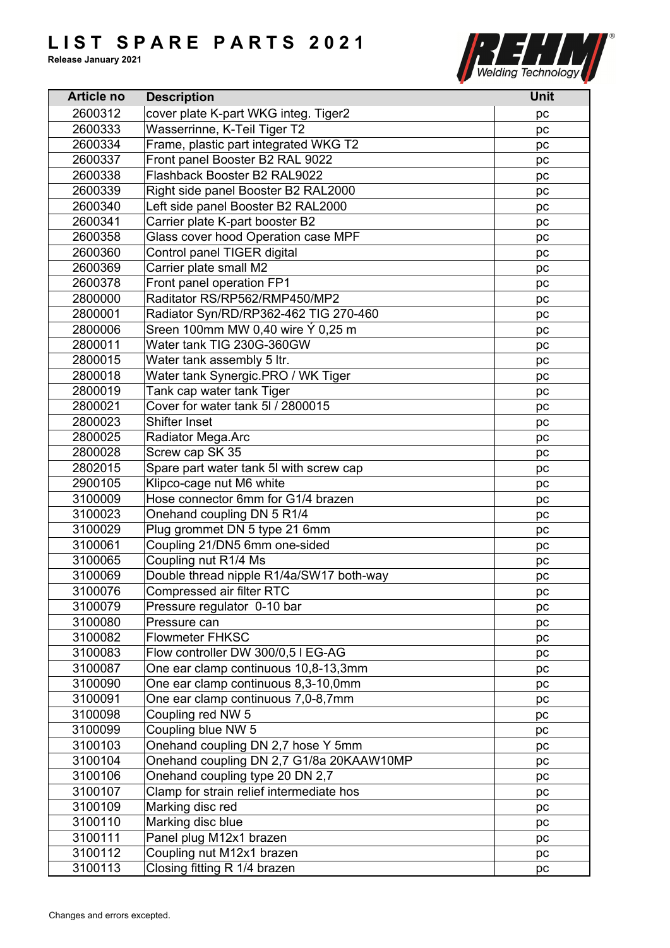

| <b>Article no</b> | <b>Description</b>                       | <b>Unit</b> |
|-------------------|------------------------------------------|-------------|
| 2600312           | cover plate K-part WKG integ. Tiger2     | pc          |
| 2600333           | Wasserrinne, K-Teil Tiger T2             | pc          |
| 2600334           | Frame, plastic part integrated WKG T2    | pc          |
| 2600337           | Front panel Booster B2 RAL 9022          | pc          |
| 2600338           | Flashback Booster B2 RAL9022             | pc          |
| 2600339           | Right side panel Booster B2 RAL2000      | pc          |
| 2600340           | Left side panel Booster B2 RAL2000       | pc          |
| 2600341           | Carrier plate K-part booster B2          | pc          |
| 2600358           | Glass cover hood Operation case MPF      | pc          |
| 2600360           | Control panel TIGER digital              | pc          |
| 2600369           | Carrier plate small M2                   | рc          |
| 2600378           | Front panel operation FP1                | pc          |
| 2800000           | Raditator RS/RP562/RMP450/MP2            | pc          |
| 2800001           | Radiator Syn/RD/RP362-462 TIG 270-460    | pc          |
| 2800006           | Sreen 100mm MW 0,40 wire Ý 0,25 m        | рc          |
| 2800011           | Water tank TIG 230G-360GW                | pc          |
| 2800015           | Water tank assembly 5 ltr.               | pc          |
| 2800018           | Water tank Synergic.PRO / WK Tiger       | pc          |
| 2800019           | Tank cap water tank Tiger                | pc          |
| 2800021           | Cover for water tank 5I / 2800015        | pc          |
| 2800023           | <b>Shifter Inset</b>                     | pc          |
| 2800025           | Radiator Mega.Arc                        | pc          |
| 2800028           | Screw cap SK 35                          | pc          |
| 2802015           | Spare part water tank 5I with screw cap  | pc          |
| 2900105           | Klipco-cage nut M6 white                 | pc          |
| 3100009           | Hose connector 6mm for G1/4 brazen       | pc          |
| 3100023           | Onehand coupling DN 5 R1/4               |             |
| 3100029           | Plug grommet DN 5 type 21 6mm            | pc<br>pc    |
| 3100061           | Coupling 21/DN5 6mm one-sided            | pc          |
| 3100065           | Coupling nut R1/4 Ms                     |             |
| 3100069           | Double thread nipple R1/4a/SW17 both-way | pc<br>pc    |
| 3100076           | <b>Compressed air filter RTC</b>         |             |
| 3100079           | Pressure regulator 0-10 bar              | pc          |
| 3100080           | Pressure can                             | pc          |
| 3100082           | <b>Flowmeter FHKSC</b>                   | pc<br>pc    |
| 3100083           | Flow controller DW 300/0,5 I EG-AG       | pc          |
| 3100087           | One ear clamp continuous 10,8-13,3mm     | pc          |
| 3100090           | One ear clamp continuous 8,3-10,0mm      | pc          |
| 3100091           | One ear clamp continuous 7,0-8,7mm       |             |
| 3100098           | Coupling red NW 5                        | pc          |
| 3100099           | Coupling blue NW 5                       | pc          |
| 3100103           | Onehand coupling DN 2,7 hose Y 5mm       | pc          |
| 3100104           | Onehand coupling DN 2,7 G1/8a 20KAAW10MP | pc          |
| 3100106           | Onehand coupling type 20 DN 2,7          | pc          |
| 3100107           | Clamp for strain relief intermediate hos | pc          |
|                   |                                          | pc          |
| 3100109           | Marking disc red                         | pc          |
| 3100110           | Marking disc blue                        | pc          |
| 3100111           | Panel plug M12x1 brazen                  | pc          |
| 3100112           | Coupling nut M12x1 brazen                | pc          |
| 3100113           | Closing fitting R 1/4 brazen             | pc          |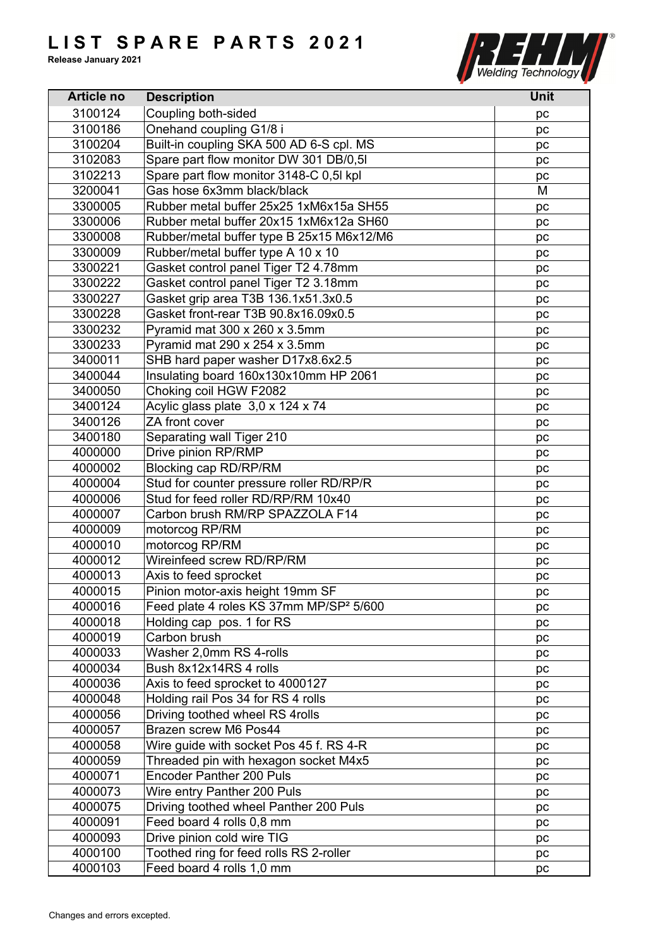

| <b>Article no</b> | <b>Description</b>                                  | <b>Unit</b> |
|-------------------|-----------------------------------------------------|-------------|
| 3100124           | Coupling both-sided                                 | рc          |
| 3100186           | Onehand coupling G1/8 i                             | pc          |
| 3100204           | Built-in coupling SKA 500 AD 6-S cpl. MS            | pc          |
| 3102083           | Spare part flow monitor DW 301 DB/0,5I              | pc          |
| 3102213           | Spare part flow monitor 3148-C 0,5l kpl             | pc          |
| 3200041           | Gas hose 6x3mm black/black                          | M           |
| 3300005           | Rubber metal buffer 25x25 1xM6x15a SH55             | pc          |
| 3300006           | Rubber metal buffer 20x15 1xM6x12a SH60             | pc          |
| 3300008           | Rubber/metal buffer type B 25x15 M6x12/M6           | pc          |
| 3300009           | Rubber/metal buffer type A 10 x 10                  | pc          |
| 3300221           | Gasket control panel Tiger T2 4.78mm                | pc          |
| 3300222           | Gasket control panel Tiger T2 3.18mm                | pc          |
| 3300227           | Gasket grip area T3B 136.1x51.3x0.5                 | pc          |
| 3300228           | Gasket front-rear T3B 90.8x16.09x0.5                | pc          |
| 3300232           | Pyramid mat 300 x 260 x 3.5mm                       | pc          |
| 3300233           | Pyramid mat 290 x 254 x 3.5mm                       | рc          |
| 3400011           | SHB hard paper washer D17x8.6x2.5                   | pc          |
| 3400044           | Insulating board 160x130x10mm HP 2061               | рc          |
| 3400050           | Choking coil HGW F2082                              | pc          |
| 3400124           | Acylic glass plate 3,0 x 124 x 74                   | pc          |
| 3400126           | ZA front cover                                      | рc          |
| 3400180           | Separating wall Tiger 210                           | pc          |
| 4000000           | Drive pinion RP/RMP                                 | pc          |
| 4000002           | Blocking cap RD/RP/RM                               | pc          |
| 4000004           | Stud for counter pressure roller RD/RP/R            | pc          |
| 4000006           | Stud for feed roller RD/RP/RM 10x40                 | рc          |
| 4000007           | Carbon brush RM/RP SPAZZOLA F14                     | pc          |
| 4000009           | motorcog RP/RM                                      | pc          |
| 4000010           | motorcog RP/RM                                      | рc          |
| 4000012           | Wireinfeed screw RD/RP/RM                           | pc          |
| 4000013           | Axis to feed sprocket                               | рc          |
| 4000015           | Pinion motor-axis height 19mm SF                    | pc          |
| 4000016           | Feed plate 4 roles KS 37mm MP/SP <sup>2</sup> 5/600 | рc          |
| 4000018           | Holding cap pos. 1 for RS                           | pc          |
| 4000019           | Carbon brush                                        | pc          |
| 4000033           | Washer 2,0mm RS 4-rolls                             | pc          |
| 4000034           | Bush 8x12x14RS 4 rolls                              | pc          |
| 4000036           | Axis to feed sprocket to 4000127                    | pc          |
| 4000048           | Holding rail Pos 34 for RS 4 rolls                  | pc          |
| 4000056           | Driving toothed wheel RS 4rolls                     | рc          |
| 4000057           | Brazen screw M6 Pos44                               | рc          |
| 4000058           | Wire guide with socket Pos 45 f. RS 4-R             |             |
| 4000059           | Threaded pin with hexagon socket M4x5               | pc          |
| 4000071           | <b>Encoder Panther 200 Puls</b>                     | pc          |
| 4000073           | Wire entry Panther 200 Puls                         | рc          |
| 4000075           | Driving toothed wheel Panther 200 Puls              | pc          |
| 4000091           | Feed board 4 rolls 0,8 mm                           | pc          |
| 4000093           | Drive pinion cold wire TIG                          | рc          |
| 4000100           | Toothed ring for feed rolls RS 2-roller             | рc          |
| 4000103           | Feed board 4 rolls 1,0 mm                           | pc          |
|                   |                                                     | pc          |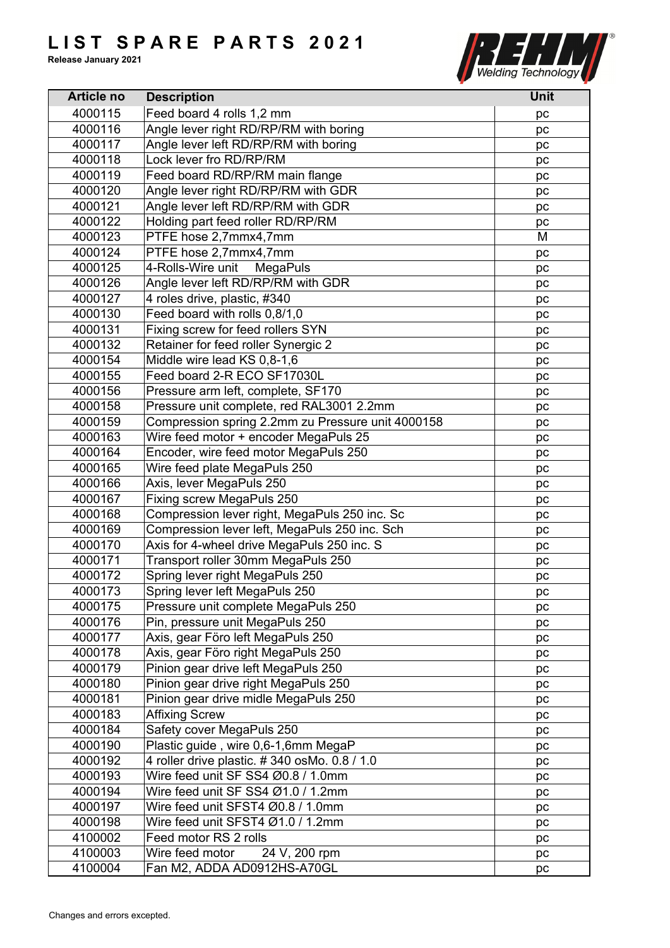

| <b>Article no</b> | <b>Description</b>                                | Unit |
|-------------------|---------------------------------------------------|------|
| 4000115           | Feed board 4 rolls 1,2 mm                         | pc   |
| 4000116           | Angle lever right RD/RP/RM with boring            | pc   |
| 4000117           | Angle lever left RD/RP/RM with boring             | pc   |
| 4000118           | Lock lever fro RD/RP/RM                           | pc   |
| 4000119           | Feed board RD/RP/RM main flange                   | pc   |
| 4000120           | Angle lever right RD/RP/RM with GDR               | pc   |
| 4000121           | Angle lever left RD/RP/RM with GDR                | pc   |
| 4000122           | Holding part feed roller RD/RP/RM                 | pc   |
| 4000123           | PTFE hose 2,7mmx4,7mm                             | M    |
| 4000124           | PTFE hose 2,7mmx4,7mm                             | pc   |
| 4000125           | 4-Rolls-Wire unit<br><b>MegaPuls</b>              | pc   |
| 4000126           | Angle lever left RD/RP/RM with GDR                | pc   |
| 4000127           | 4 roles drive, plastic, #340                      | pc   |
| 4000130           | Feed board with rolls 0,8/1,0                     | pc   |
| 4000131           | Fixing screw for feed rollers SYN                 | pc   |
| 4000132           | Retainer for feed roller Synergic 2               |      |
| 4000154           | Middle wire lead KS 0,8-1,6                       | pc   |
|                   | Feed board 2-R ECO SF17030L                       | pc   |
| 4000155           |                                                   | pc   |
| 4000156           | Pressure arm left, complete, SF170                | pc   |
| 4000158           | Pressure unit complete, red RAL3001 2.2mm         | рc   |
| 4000159           | Compression spring 2.2mm zu Pressure unit 4000158 | pc   |
| 4000163           | Wire feed motor + encoder MegaPuls 25             | pc   |
| 4000164           | Encoder, wire feed motor MegaPuls 250             | pc   |
| 4000165           | Wire feed plate MegaPuls 250                      | pc   |
| 4000166           | Axis, lever MegaPuls 250                          | pc   |
| 4000167           | Fixing screw MegaPuls 250                         | pc   |
| 4000168           | Compression lever right, MegaPuls 250 inc. Sc     | pc   |
| 4000169           | Compression lever left, MegaPuls 250 inc. Sch     | pc   |
| 4000170           | Axis for 4-wheel drive MegaPuls 250 inc. S        | pc   |
| 4000171           | Transport roller 30mm MegaPuls 250                | pc   |
| 4000172           | Spring lever right MegaPuls 250                   | pc   |
| 4000173           | Spring lever left MegaPuls 250                    | pc   |
| 4000175           | Pressure unit complete MegaPuls 250               | рc   |
| 4000176           | Pin, pressure unit MegaPuls 250                   | pc   |
| 4000177           | Axis, gear Föro left MegaPuls 250                 | pc   |
| 4000178           | Axis, gear Föro right MegaPuls 250                | pc   |
| 4000179           | Pinion gear drive left MegaPuls 250               | рc   |
| 4000180           | Pinion gear drive right MegaPuls 250              | pc   |
| 4000181           | Pinion gear drive midle MegaPuls 250              | pc   |
| 4000183           | <b>Affixing Screw</b>                             | pc   |
| 4000184           | Safety cover MegaPuls 250                         | pc   |
| 4000190           | Plastic guide, wire 0,6-1,6mm MegaP               | pc   |
| 4000192           | 4 roller drive plastic. #340 osMo. 0.8 / 1.0      | pc   |
| 4000193           | Wire feed unit SF SS4 Ø0.8 / 1.0mm                | рc   |
| 4000194           | Wire feed unit SF SS4 Ø1.0 / 1.2mm                | pc   |
| 4000197           | Wire feed unit SFST4 Ø0.8 / 1.0mm                 | pc   |
| 4000198           | Wire feed unit SFST4 Ø1.0 / 1.2mm                 | pc   |
| 4100002           | Feed motor RS 2 rolls                             | pc   |
| 4100003           | Wire feed motor<br>24 V, 200 rpm                  | pc   |
| 4100004           | Fan M2, ADDA AD0912HS-A70GL                       | pc   |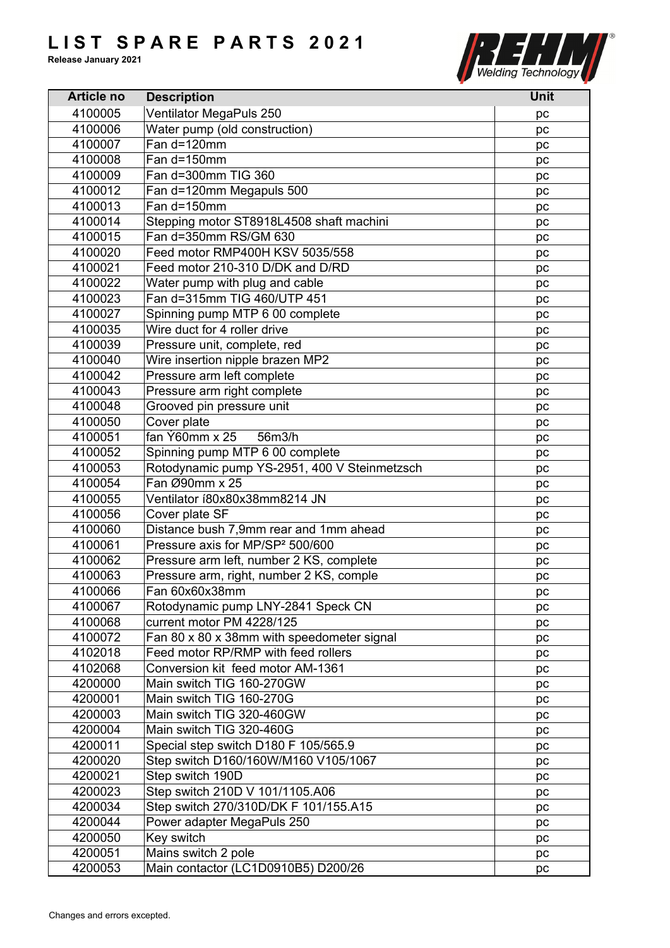

| <b>Article no</b> | <b>Description</b>                           | <b>Unit</b> |
|-------------------|----------------------------------------------|-------------|
| 4100005           | Ventilator MegaPuls 250                      | рc          |
| 4100006           | Water pump (old construction)                | pc          |
| 4100007           | Fan d=120mm                                  | pc          |
| 4100008           | Fan d=150mm                                  | pc          |
| 4100009           | Fan d=300mm TIG 360                          | рc          |
| 4100012           | Fan d=120mm Megapuls 500                     | pc          |
| 4100013           | Fan d=150mm                                  | pc          |
| 4100014           | Stepping motor ST8918L4508 shaft machini     | pc          |
| 4100015           | Fan d=350mm RS/GM 630                        | pc          |
| 4100020           | Feed motor RMP400H KSV 5035/558              | pc          |
| 4100021           | Feed motor 210-310 D/DK and D/RD             | pc          |
| 4100022           | Water pump with plug and cable               | рc          |
| 4100023           | Fan d=315mm TIG 460/UTP 451                  | pc          |
| 4100027           | Spinning pump MTP 6 00 complete              | pc          |
| 4100035           | Wire duct for 4 roller drive                 | pc          |
| 4100039           | Pressure unit, complete, red                 | pc          |
| 4100040           | Wire insertion nipple brazen MP2             |             |
| 4100042           | Pressure arm left complete                   | pc          |
|                   |                                              | pc          |
| 4100043           | Pressure arm right complete                  | pc          |
| 4100048           | Grooved pin pressure unit                    | pc          |
| 4100050           | Cover plate                                  | pc          |
| 4100051           | fan Ý60mm x 25<br>56m3/h                     | pc          |
| 4100052           | Spinning pump MTP 6 00 complete              | pc          |
| 4100053           | Rotodynamic pump YS-2951, 400 V Steinmetzsch | pc          |
| 4100054           | Fan Ø90mm x 25                               | pc          |
| 4100055           | Ventilator í80x80x38mm8214 JN                | pc          |
| 4100056           | Cover plate SF                               | рc          |
| 4100060           | Distance bush 7,9mm rear and 1mm ahead       | pc          |
| 4100061           | Pressure axis for MP/SP <sup>2</sup> 500/600 | pc          |
| 4100062           | Pressure arm left, number 2 KS, complete     | pc          |
| 4100063           | Pressure arm, right, number 2 KS, comple     | pc          |
| 4100066           | Fan 60x60x38mm                               | pc          |
| 4100067           | Rotodynamic pump LNY-2841 Speck CN           | pc          |
| 4100068           | current motor PM 4228/125                    | pc          |
| 4100072           | Fan 80 x 80 x 38mm with speedometer signal   | pc          |
| 4102018           | Feed motor RP/RMP with feed rollers          | pc          |
| 4102068           | Conversion kit feed motor AM-1361            | рc          |
| 4200000           | Main switch TIG 160-270GW                    | pc          |
| 4200001           | Main switch TIG 160-270G                     | pc          |
| 4200003           | Main switch TIG 320-460GW                    | pc          |
| 4200004           | Main switch TIG 320-460G                     | рc          |
| 4200011           | Special step switch D180 F 105/565.9         | pc          |
| 4200020           | Step switch D160/160W/M160 V105/1067         | pc          |
| 4200021           | Step switch 190D                             | рc          |
| 4200023           | Step switch 210D V 101/1105.A06              | pc          |
| 4200034           | Step switch 270/310D/DK F 101/155.A15        | pc          |
| 4200044           | Power adapter MegaPuls 250                   | рc          |
| 4200050           | Key switch                                   | рc          |
| 4200051           | Mains switch 2 pole                          | pc          |
| 4200053           | Main contactor (LC1D0910B5) D200/26          | pc          |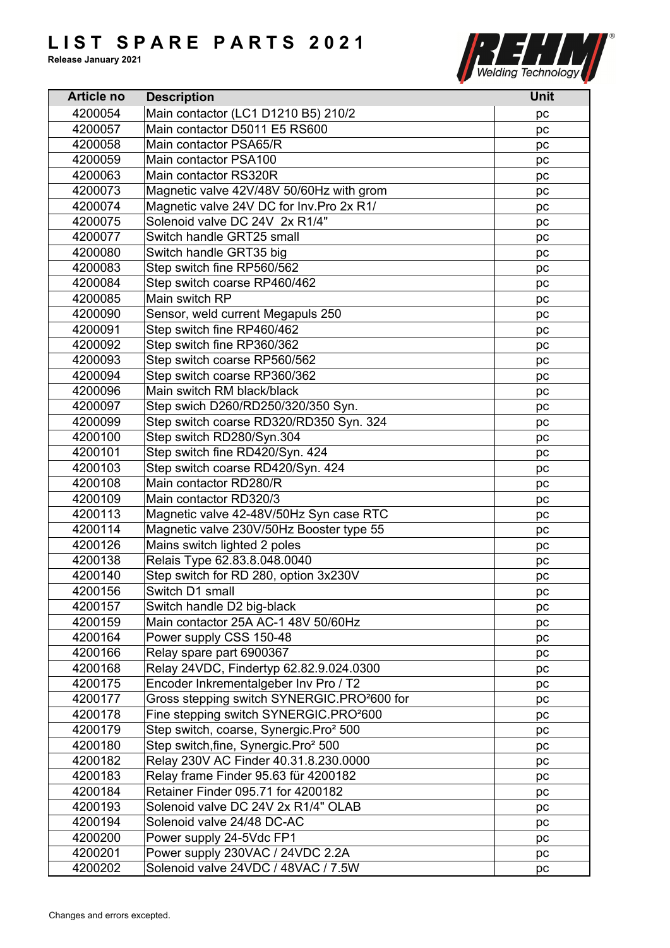

| <b>Article no</b> | <b>Description</b>                                      | <b>Unit</b> |
|-------------------|---------------------------------------------------------|-------------|
| 4200054           | Main contactor (LC1 D1210 B5) 210/2                     | рc          |
| 4200057           | Main contactor D5011 E5 RS600                           | pc          |
| 4200058           | Main contactor PSA65/R                                  | pc          |
| 4200059           | Main contactor PSA100                                   | рc          |
| 4200063           | Main contactor RS320R                                   | рc          |
| 4200073           | Magnetic valve 42V/48V 50/60Hz with grom                | pc          |
| 4200074           | Magnetic valve 24V DC for Inv. Pro 2x R1/               | pc          |
| 4200075           | Solenoid valve DC 24V 2x R1/4"                          | рc          |
| 4200077           | Switch handle GRT25 small                               | pc          |
| 4200080           | Switch handle GRT35 big                                 | pc          |
| 4200083           | Step switch fine RP560/562                              | рc          |
| 4200084           | Step switch coarse RP460/462                            | рc          |
| 4200085           | Main switch RP                                          | pc          |
| 4200090           | Sensor, weld current Megapuls 250                       | pc          |
| 4200091           | Step switch fine RP460/462                              | pc          |
| 4200092           | Step switch fine RP360/362                              |             |
| 4200093           | Step switch coarse RP560/562                            | pc          |
| 4200094           | Step switch coarse RP360/362                            | pc          |
|                   | Main switch RM black/black                              | pc          |
| 4200096           |                                                         | рc          |
| 4200097           | Step swich D260/RD250/320/350 Syn.                      | pc          |
| 4200099           | Step switch coarse RD320/RD350 Syn. 324                 | pc          |
| 4200100           | Step switch RD280/Syn.304                               | рc          |
| 4200101           | Step switch fine RD420/Syn. 424                         | рc          |
| 4200103           | Step switch coarse RD420/Syn. 424                       | pc          |
| 4200108           | Main contactor RD280/R                                  | pc          |
| 4200109           | Main contactor RD320/3                                  | рc          |
| 4200113           | Magnetic valve 42-48V/50Hz Syn case RTC                 | рc          |
| 4200114           | Magnetic valve 230V/50Hz Booster type 55                | pc          |
| 4200126           | Mains switch lighted 2 poles                            | рc          |
| 4200138           | Relais Type 62.83.8.048.0040                            | pc          |
| 4200140           | Step switch for RD 280, option 3x230V                   | pc          |
| 4200156           | Switch D1 small                                         | pc          |
| 4200157           | Switch handle D2 big-black                              | рc          |
| 4200159           | Main contactor 25A AC-1 48V 50/60Hz                     | pc          |
| 4200164           | Power supply CSS 150-48                                 | pc          |
| 4200166           | Relay spare part 6900367                                | pc          |
| 4200168           | Relay 24VDC, Findertyp 62.82.9.024.0300                 | рc          |
| 4200175           | Encoder Inkrementalgeber Inv Pro / T2                   | pc          |
| 4200177           | Gross stepping switch SYNERGIC.PRO <sup>2</sup> 600 for | pc          |
| 4200178           | Fine stepping switch SYNERGIC.PRO <sup>2</sup> 600      | рc          |
| 4200179           | Step switch, coarse, Synergic.Pro <sup>2</sup> 500      | рc          |
| 4200180           | Step switch, fine, Synergic. Pro <sup>2</sup> 500       | pc          |
| 4200182           | Relay 230V AC Finder 40.31.8.230.0000                   | pc          |
| 4200183           | Relay frame Finder 95.63 für 4200182                    | pc          |
| 4200184           | Retainer Finder 095.71 for 4200182                      | pc          |
| 4200193           | Solenoid valve DC 24V 2x R1/4" OLAB                     | pс          |
| 4200194           | Solenoid valve 24/48 DC-AC                              | рc          |
| 4200200           | Power supply 24-5Vdc FP1                                | рc          |
| 4200201           | Power supply 230VAC / 24VDC 2.2A                        | pc          |
| 4200202           | Solenoid valve 24VDC / 48VAC / 7.5W                     | pc          |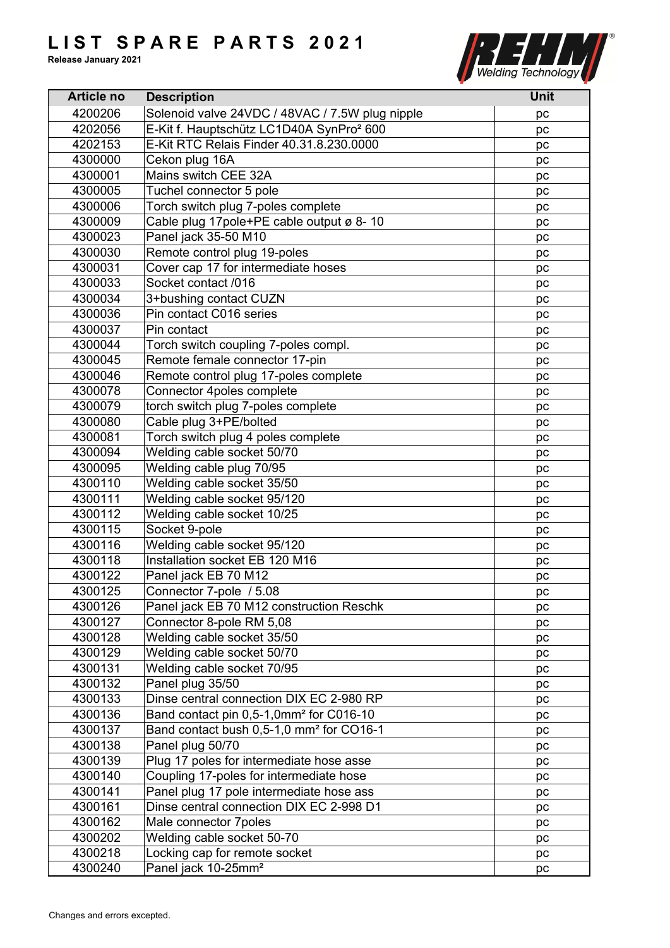

| <b>Article no</b> | <b>Description</b>                                                                                          | <b>Unit</b> |
|-------------------|-------------------------------------------------------------------------------------------------------------|-------------|
| 4200206           | Solenoid valve 24VDC / 48VAC / 7.5W plug nipple                                                             | pc          |
| 4202056           | E-Kit f. Hauptschütz LC1D40A SynPro <sup>2</sup> 600                                                        | pc          |
| 4202153           | E-Kit RTC Relais Finder 40.31.8.230.0000                                                                    | pc          |
| 4300000           | Cekon plug 16A                                                                                              | pc          |
| 4300001           | Mains switch CEE 32A                                                                                        | pc          |
| 4300005           | Tuchel connector 5 pole                                                                                     | pc          |
| 4300006           | Torch switch plug 7-poles complete                                                                          | pc          |
| 4300009           | Cable plug 17 pole + PE cable output ø 8-10                                                                 | pc          |
| 4300023           | Panel jack 35-50 M10                                                                                        | pc          |
| 4300030           | Remote control plug 19-poles                                                                                | pc          |
| 4300031           | Cover cap 17 for intermediate hoses                                                                         | pc          |
| 4300033           | Socket contact /016                                                                                         | рc          |
| 4300034           | 3+bushing contact CUZN                                                                                      | pc          |
| 4300036           | Pin contact C016 series                                                                                     | pc          |
| 4300037           | Pin contact                                                                                                 | pc          |
| 4300044           | Torch switch coupling 7-poles compl.                                                                        | pc          |
| 4300045           | Remote female connector 17-pin                                                                              | pc          |
| 4300046           | Remote control plug 17-poles complete                                                                       | pc          |
| 4300078           | Connector 4poles complete                                                                                   | pc          |
| 4300079           | torch switch plug 7-poles complete                                                                          | pc          |
| 4300080           | Cable plug 3+PE/bolted                                                                                      | pc          |
| 4300081           | Torch switch plug 4 poles complete                                                                          | рc          |
| 4300094           | Welding cable socket 50/70                                                                                  | pc          |
| 4300095           | Welding cable plug 70/95                                                                                    | pc          |
| 4300110           | Welding cable socket 35/50                                                                                  | pc          |
| 4300111           | Welding cable socket 95/120                                                                                 |             |
| 4300112           | Welding cable socket 10/25                                                                                  | pc          |
| 4300115           | Socket 9-pole                                                                                               | pc          |
| 4300116           | Welding cable socket 95/120                                                                                 | pc          |
| 4300118           | Installation socket EB 120 M16                                                                              | pc          |
| 4300122           | Panel jack EB 70 M12                                                                                        | pc          |
| 4300125           | Connector 7-pole / 5.08                                                                                     | pc          |
| 4300126           | Panel jack EB 70 M12 construction Reschk                                                                    | pc          |
| 4300127           | Connector 8-pole RM 5,08                                                                                    | pc          |
| 4300128           | Welding cable socket 35/50                                                                                  | pc          |
| 4300129           | Welding cable socket 50/70                                                                                  | pc          |
| 4300131           | Welding cable socket 70/95                                                                                  | рc<br>pc    |
| 4300132           | Panel plug 35/50                                                                                            |             |
| 4300133           | Dinse central connection DIX EC 2-980 RP                                                                    | pc          |
| 4300136           |                                                                                                             | pс          |
| 4300137           | Band contact pin 0,5-1,0mm <sup>2</sup> for C016-10<br>Band contact bush 0,5-1,0 mm <sup>2</sup> for CO16-1 | pc          |
| 4300138           | Panel plug 50/70                                                                                            | pc          |
| 4300139           | Plug 17 poles for intermediate hose asse                                                                    | pc          |
|                   |                                                                                                             | pc          |
| 4300140           | Coupling 17-poles for intermediate hose                                                                     | pс          |
| 4300141           | Panel plug 17 pole intermediate hose ass                                                                    | pc          |
| 4300161           | Dinse central connection DIX EC 2-998 D1                                                                    | рc          |
| 4300162           | Male connector 7poles                                                                                       | pc          |
| 4300202           | Welding cable socket 50-70                                                                                  | pc          |
| 4300218           | Locking cap for remote socket                                                                               | pc          |
| 4300240           | Panel jack 10-25mm <sup>2</sup>                                                                             | pc          |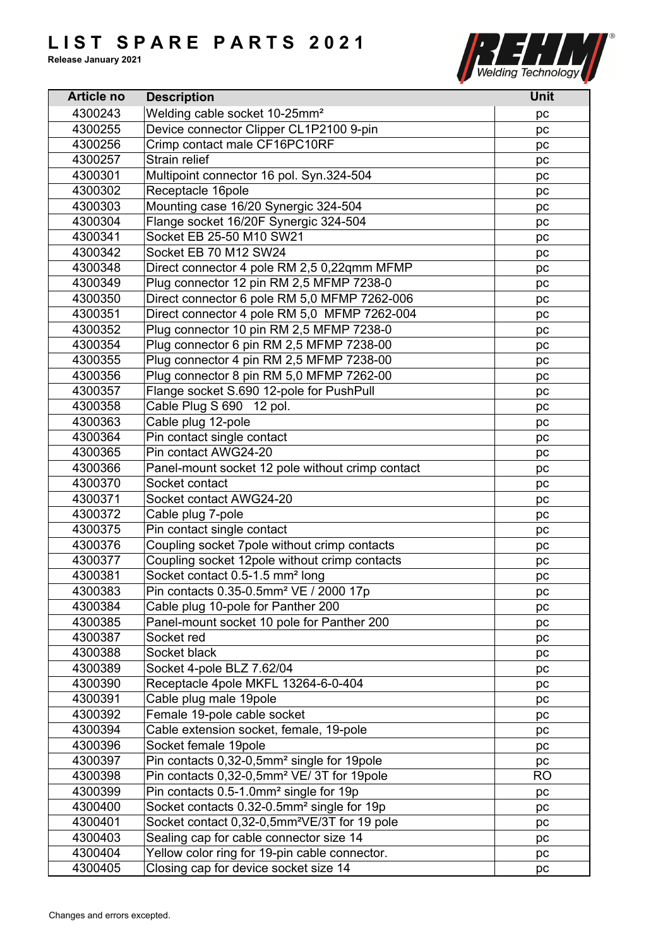

| <b>Article no</b> | <b>Description</b>                                       | Unit      |
|-------------------|----------------------------------------------------------|-----------|
| 4300243           | Welding cable socket 10-25mm <sup>2</sup>                | pc        |
| 4300255           | Device connector Clipper CL1P2100 9-pin                  | pc        |
| 4300256           | Crimp contact male CF16PC10RF                            | рc        |
| 4300257           | Strain relief                                            | pc        |
| 4300301           | Multipoint connector 16 pol. Syn.324-504                 | рc        |
| 4300302           | Receptacle 16pole                                        | pc        |
| 4300303           | Mounting case 16/20 Synergic 324-504                     | pc        |
| 4300304           | Flange socket 16/20F Synergic 324-504                    | pc        |
| 4300341           | Socket EB 25-50 M10 SW21                                 | рc        |
| 4300342           | Socket EB 70 M12 SW24                                    | pc        |
| 4300348           | Direct connector 4 pole RM 2,5 0,22qmm MFMP              | рc        |
| 4300349           | Plug connector 12 pin RM 2,5 MFMP 7238-0                 | рc        |
| 4300350           | Direct connector 6 pole RM 5,0 MFMP 7262-006             | pc        |
| 4300351           | Direct connector 4 pole RM 5,0 MFMP 7262-004             | pc        |
| 4300352           | Plug connector 10 pin RM 2,5 MFMP 7238-0                 | pc        |
| 4300354           | Plug connector 6 pin RM 2,5 MFMP 7238-00                 | pc        |
| 4300355           | Plug connector 4 pin RM 2,5 MFMP 7238-00                 |           |
| 4300356           | Plug connector 8 pin RM 5,0 MFMP 7262-00                 | pc        |
|                   |                                                          | pc        |
| 4300357           | Flange socket S.690 12-pole for PushPull                 | рc        |
| 4300358           | Cable Plug S 690 12 pol.                                 | pc        |
| 4300363           | Cable plug 12-pole                                       | pc        |
| 4300364           | Pin contact single contact                               | рc        |
| 4300365           | Pin contact AWG24-20                                     | pc        |
| 4300366           | Panel-mount socket 12 pole without crimp contact         | pc        |
| 4300370           | Socket contact                                           | pc        |
| 4300371           | Socket contact AWG24-20                                  | рc        |
| 4300372           | Cable plug 7-pole                                        | рc        |
| 4300375           | Pin contact single contact                               | pc        |
| 4300376           | Coupling socket 7pole without crimp contacts             | pc        |
| 4300377           | Coupling socket 12pole without crimp contacts            | рc        |
| 4300381           | Socket contact 0.5-1.5 mm <sup>2</sup> long              | pc        |
| 4300383           | Pin contacts 0.35-0.5mm <sup>2</sup> VE / 2000 17p       | pc        |
| 4300384           | Cable plug 10-pole for Panther 200                       | рc        |
| 4300385           | Panel-mount socket 10 pole for Panther 200               | pc        |
| 4300387           | Socket red                                               | pc        |
| 4300388           | Socket black                                             | pc        |
| 4300389           | Socket 4-pole BLZ 7.62/04                                | рc        |
| 4300390           | Receptacle 4pole MKFL 13264-6-0-404                      | pc        |
| 4300391           | Cable plug male 19pole                                   | pc        |
| 4300392           | Female 19-pole cable socket                              | pc        |
| 4300394           | Cable extension socket, female, 19-pole                  | pc        |
| 4300396           | Socket female 19pole                                     | pc        |
| 4300397           | Pin contacts 0,32-0,5mm <sup>2</sup> single for 19pole   | рc        |
| 4300398           | Pin contacts 0,32-0,5mm <sup>2</sup> VE/ 3T for 19pole   | <b>RO</b> |
| 4300399           | Pin contacts 0.5-1.0mm <sup>2</sup> single for 19p       | pc        |
| 4300400           | Socket contacts 0.32-0.5mm <sup>2</sup> single for 19p   | pc        |
| 4300401           | Socket contact 0,32-0,5mm <sup>2</sup> VE/3T for 19 pole | pc        |
| 4300403           | Sealing cap for cable connector size 14                  | pc        |
| 4300404           | Yellow color ring for 19-pin cable connector.            | pc        |
| 4300405           | Closing cap for device socket size 14                    | pc        |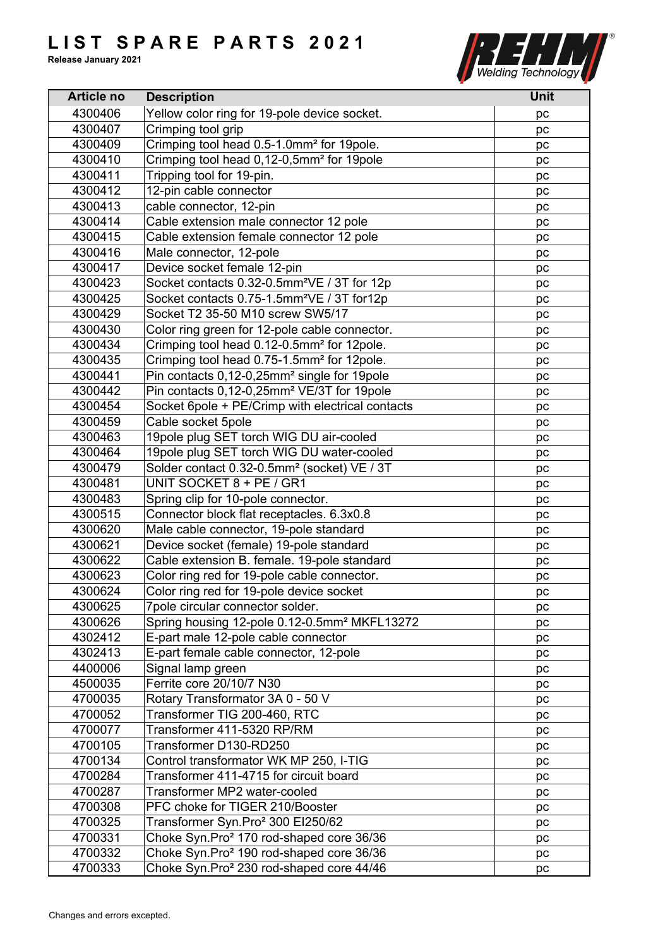

| <b>Article no</b> | <b>Description</b>                                       | <b>Unit</b> |
|-------------------|----------------------------------------------------------|-------------|
| 4300406           | Yellow color ring for 19-pole device socket.             | pc          |
| 4300407           | Crimping tool grip                                       | pc          |
| 4300409           | Crimping tool head 0.5-1.0mm <sup>2</sup> for 19pole.    | pc          |
| 4300410           | Crimping tool head 0,12-0,5mm <sup>2</sup> for 19pole    | pc          |
| 4300411           | Tripping tool for 19-pin.                                | pc          |
| 4300412           | 12-pin cable connector                                   | pc          |
| 4300413           | cable connector, 12-pin                                  | pc          |
| 4300414           | Cable extension male connector 12 pole                   | pc          |
| 4300415           | Cable extension female connector 12 pole                 | pc          |
| 4300416           | Male connector, 12-pole                                  | pc          |
| 4300417           | Device socket female 12-pin                              | pc          |
| 4300423           | Socket contacts 0.32-0.5mm <sup>2</sup> VE / 3T for 12p  | pc          |
| 4300425           | Socket contacts 0.75-1.5mm <sup>2</sup> VE / 3T for12p   | pc          |
| 4300429           | Socket T2 35-50 M10 screw SW5/17                         | pc          |
| 4300430           | Color ring green for 12-pole cable connector.            | pc          |
| 4300434           | Crimping tool head 0.12-0.5mm <sup>2</sup> for 12pole.   | pc          |
| 4300435           | Crimping tool head 0.75-1.5mm <sup>2</sup> for 12pole.   | pc          |
| 4300441           | Pin contacts 0,12-0,25mm <sup>2</sup> single for 19pole  | pc          |
| 4300442           | Pin contacts 0,12-0,25mm <sup>2</sup> VE/3T for 19pole   | pc          |
| 4300454           | Socket 6pole + PE/Crimp with electrical contacts         | pc          |
| 4300459           | Cable socket 5pole                                       | pc          |
| 4300463           | 19pole plug SET torch WIG DU air-cooled                  | pc          |
| 4300464           | 19pole plug SET torch WIG DU water-cooled                | рc          |
| 4300479           | Solder contact 0.32-0.5mm <sup>2</sup> (socket) VE / 3T  | pc          |
| 4300481           | UNIT SOCKET 8 + PE / GR1                                 | pc          |
| 4300483           | Spring clip for 10-pole connector.                       | pc          |
| 4300515           | Connector block flat receptacles. 6.3x0.8                | рc          |
| 4300620           | Male cable connector, 19-pole standard                   | pc          |
| 4300621           | Device socket (female) 19-pole standard                  | pc          |
| 4300622           | Cable extension B. female. 19-pole standard              | pc          |
| 4300623           | Color ring red for 19-pole cable connector.              | pc          |
| 4300624           | Color ring red for 19-pole device socket                 | pc          |
| 4300625           | 7pole circular connector solder.                         | pc          |
| 4300626           | Spring housing 12-pole 0.12-0.5mm <sup>2</sup> MKFL13272 |             |
| 4302412           | E-part male 12-pole cable connector                      | рc<br>pc    |
| 4302413           | E-part female cable connector, 12-pole                   | pc          |
| 4400006           | Signal lamp green                                        | pc          |
| 4500035           | Ferrite core 20/10/7 N30                                 |             |
| 4700035           | Rotary Transformator 3A 0 - 50 V                         | pc          |
| 4700052           | Transformer TIG 200-460, RTC                             | pc          |
| 4700077           | Transformer 411-5320 RP/RM                               | pc          |
| 4700105           | Transformer D130-RD250                                   | pc          |
| 4700134           | Control transformator WK MP 250, I-TIG                   | pc          |
| 4700284           | Transformer 411-4715 for circuit board                   | pc          |
| 4700287           | Transformer MP2 water-cooled                             | pc          |
| 4700308           | PFC choke for TIGER 210/Booster                          | pc          |
|                   |                                                          | pc          |
| 4700325           | Transformer Syn.Pro <sup>2</sup> 300 EI250/62            | pc          |
| 4700331           | Choke Syn.Pro <sup>2</sup> 170 rod-shaped core 36/36     | pc          |
| 4700332           | Choke Syn.Pro <sup>2</sup> 190 rod-shaped core 36/36     | pc          |
| 4700333           | Choke Syn.Pro <sup>2</sup> 230 rod-shaped core 44/46     | pc          |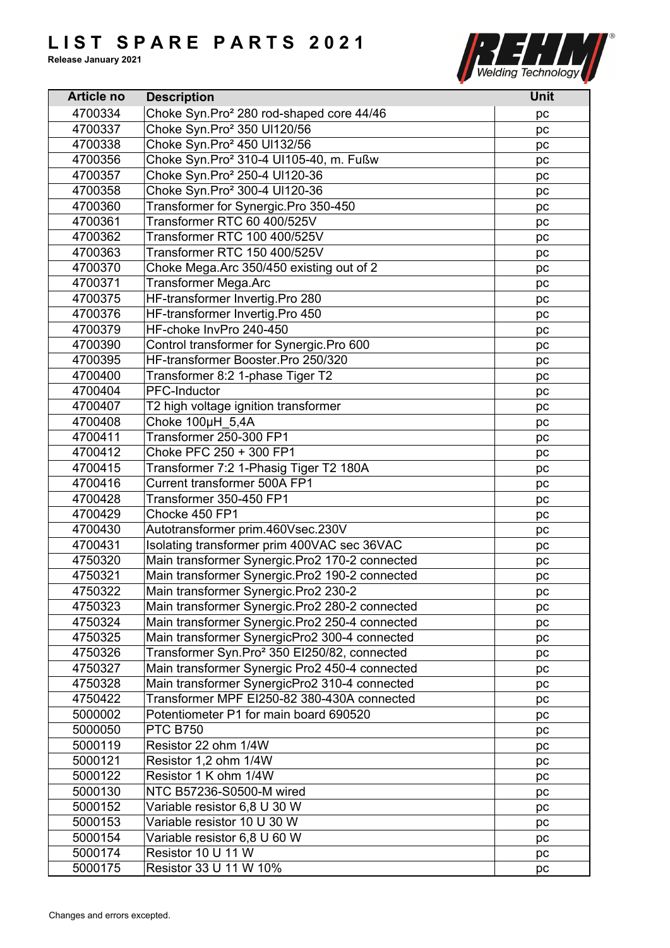

| <b>Article no</b> | <b>Description</b>                                       | <b>Unit</b> |
|-------------------|----------------------------------------------------------|-------------|
| 4700334           | Choke Syn.Pro <sup>2</sup> 280 rod-shaped core 44/46     | pc          |
| 4700337           | Choke Syn.Pro <sup>2</sup> 350 Ul120/56                  | pc          |
| 4700338           | Choke Syn.Pro <sup>2</sup> 450 Ul132/56                  | pc          |
| 4700356           | Choke Syn.Pro <sup>2</sup> 310-4 UI105-40, m. Fußw       | pc          |
| 4700357           | Choke Syn.Pro <sup>2</sup> 250-4 Ul120-36                | pc          |
| 4700358           | Choke Syn.Pro <sup>2</sup> 300-4 UI120-36                | pc          |
| 4700360           | Transformer for Synergic.Pro 350-450                     | pc          |
| 4700361           | Transformer RTC 60 400/525V                              | pc          |
| 4700362           | Transformer RTC 100 400/525V                             | pc          |
| 4700363           | Transformer RTC 150 400/525V                             | pc          |
| 4700370           | Choke Mega.Arc 350/450 existing out of 2                 | рc          |
| 4700371           | <b>Transformer Mega.Arc</b>                              | pc          |
| 4700375           | HF-transformer Invertig.Pro 280                          | pc          |
| 4700376           | HF-transformer Invertig.Pro 450                          | pc          |
| 4700379           | HF-choke InvPro 240-450                                  |             |
| 4700390           | Control transformer for Synergic.Pro 600                 | pc          |
|                   | HF-transformer Booster.Pro 250/320                       | pc          |
| 4700395           |                                                          | pc          |
| 4700400           | Transformer 8:2 1-phase Tiger T2                         | pc          |
| 4700404           | PFC-Inductor                                             | pc          |
| 4700407           | T2 high voltage ignition transformer                     | pc          |
| 4700408           | Choke 100µH 5,4A                                         | pc          |
| 4700411           | Transformer 250-300 FP1                                  | pc          |
| 4700412           | Choke PFC 250 + 300 FP1                                  | pc          |
| 4700415           | Transformer 7:2 1-Phasig Tiger T2 180A                   | pc          |
| 4700416           | Current transformer 500A FP1                             | pc          |
| 4700428           | Transformer 350-450 FP1                                  | pc          |
| 4700429           | Chocke 450 FP1                                           | pc          |
| 4700430           | Autotransformer prim.460Vsec.230V                        | pc          |
| 4700431           | Isolating transformer prim 400VAC sec 36VAC              | pc          |
| 4750320           | Main transformer Synergic.Pro2 170-2 connected           | pc          |
| 4750321           | Main transformer Synergic.Pro2 190-2 connected           | pc          |
| 4750322           | Main transformer Synergic.Pro2 230-2                     | pc          |
| 4750323           | Main transformer Synergic.Pro2 280-2 connected           | pc          |
| 4750324           | Main transformer Synergic.Pro2 250-4 connected           | pc          |
| 4750325           | Main transformer SynergicPro2 300-4 connected            | pc          |
| 4750326           | Transformer Syn.Pro <sup>2</sup> 350 EI250/82, connected | pc          |
| 4750327           | Main transformer Synergic Pro2 450-4 connected           | pc          |
| 4750328           | Main transformer SynergicPro2 310-4 connected            | pc          |
| 4750422           | Transformer MPF EI250-82 380-430A connected              | pc          |
| 5000002           | Potentiometer P1 for main board 690520                   | pc          |
| 5000050           | <b>PTC B750</b>                                          | pc          |
| 5000119           | Resistor 22 ohm 1/4W                                     | pc          |
| 5000121           | Resistor 1,2 ohm 1/4W                                    | pc          |
| 5000122           | Resistor 1 K ohm 1/4W                                    | pc          |
| 5000130           | NTC B57236-S0500-M wired                                 | pc          |
| 5000152           | Variable resistor 6,8 U 30 W                             | pc          |
| 5000153           | Variable resistor 10 U 30 W                              | pc          |
| 5000154           | Variable resistor 6,8 U 60 W                             | pc          |
| 5000174           | Resistor 10 U 11 W                                       | pc          |
| 5000175           | Resistor 33 U 11 W 10%                                   | pc          |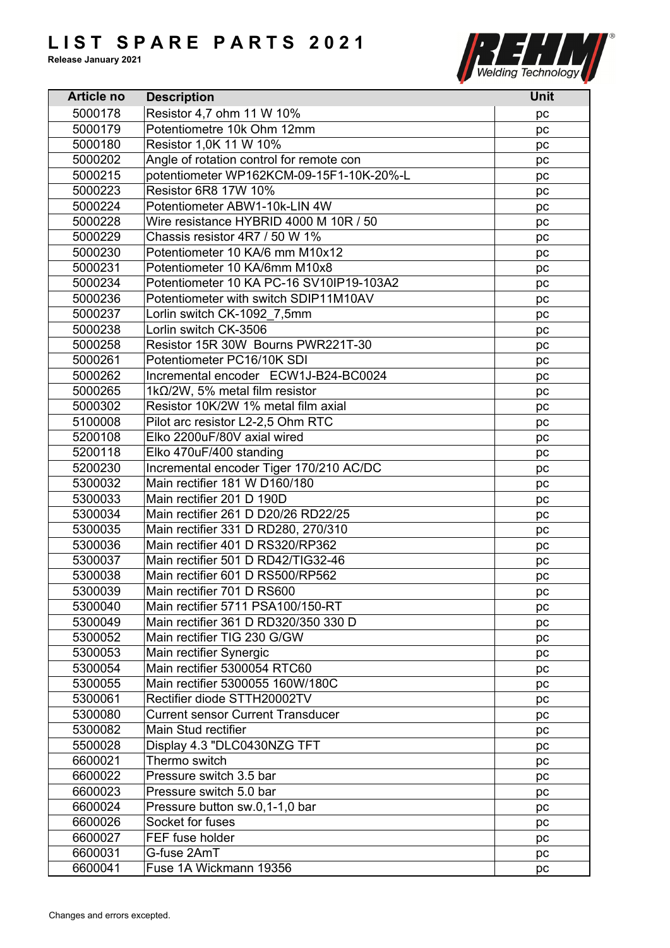

| <b>Article no</b> | <b>Description</b>                       | <b>Unit</b> |
|-------------------|------------------------------------------|-------------|
| 5000178           | Resistor 4,7 ohm 11 W 10%                | рc          |
| 5000179           | Potentiometre 10k Ohm 12mm               | pc          |
| 5000180           | Resistor 1,0K 11 W 10%                   | pc          |
| 5000202           | Angle of rotation control for remote con | pc          |
| 5000215           | potentiometer WP162KCM-09-15F1-10K-20%-L | pc          |
| 5000223           | <b>Resistor 6R8 17W 10%</b>              | pc          |
| 5000224           | Potentiometer ABW1-10k-LIN 4W            | pc          |
| 5000228           | Wire resistance HYBRID 4000 M 10R / 50   | рc          |
| 5000229           | Chassis resistor 4R7 / 50 W 1%           | pc          |
| 5000230           | Potentiometer 10 KA/6 mm M10x12          | pc          |
| 5000231           | Potentiometer 10 KA/6mm M10x8            | pc          |
| 5000234           | Potentiometer 10 KA PC-16 SV10IP19-103A2 | pc          |
| 5000236           | Potentiometer with switch SDIP11M10AV    | pc          |
| 5000237           | Lorlin switch CK-1092 7,5mm              | pc          |
| 5000238           | Lorlin switch CK-3506                    | рc          |
| 5000258           | Resistor 15R 30W Bourns PWR221T-30       | pc          |
| 5000261           | Potentiometer PC16/10K SDI               | pc          |
| 5000262           | Incremental encoder ECW1J-B24-BC0024     | pc          |
| 5000265           | 1k $\Omega$ /2W, 5% metal film resistor  | pc          |
| 5000302           | Resistor 10K/2W 1% metal film axial      | pc          |
| 5100008           | Pilot arc resistor L2-2,5 Ohm RTC        | pc          |
| 5200108           | Elko 2200uF/80V axial wired              | pc          |
| 5200118           | Elko 470uF/400 standing                  | pc          |
| 5200230           | Incremental encoder Tiger 170/210 AC/DC  | pc          |
| 5300032           | Main rectifier 181 W D160/180            | pc          |
| 5300033           | Main rectifier 201 D 190D                | рc          |
| 5300034           | Main rectifier 261 D D20/26 RD22/25      | pc          |
| 5300035           | Main rectifier 331 D RD280, 270/310      | pc          |
| 5300036           | Main rectifier 401 D RS320/RP362         | pc          |
| 5300037           | Main rectifier 501 D RD42/TIG32-46       | pc          |
| 5300038           | Main rectifier 601 D RS500/RP562         | pc          |
| 5300039           | Main rectifier 701 D RS600               | pc          |
| 5300040           | Main rectifier 5711 PSA100/150-RT        | рc          |
| 5300049           | Main rectifier 361 D RD320/350 330 D     | pc          |
| 5300052           | Main rectifier TIG 230 G/GW              | pc          |
| 5300053           | Main rectifier Synergic                  | pc          |
| 5300054           | Main rectifier 5300054 RTC60             | pc          |
| 5300055           | Main rectifier 5300055 160W/180C         | pc          |
| 5300061           | Rectifier diode STTH20002TV              | pc          |
| 5300080           | <b>Current sensor Current Transducer</b> | pc          |
| 5300082           | Main Stud rectifier                      | pc          |
| 5500028           | Display 4.3 "DLC0430NZG TFT              | pc          |
| 6600021           | Thermo switch                            | pc          |
| 6600022           | Pressure switch 3.5 bar                  | pc          |
| 6600023           | Pressure switch 5.0 bar                  | pc          |
| 6600024           | Pressure button sw.0,1-1,0 bar           | pc          |
| 6600026           | Socket for fuses                         | pc          |
| 6600027           | FEF fuse holder                          | pc          |
| 6600031           | G-fuse 2AmT                              | pc          |
| 6600041           | Fuse 1A Wickmann 19356                   | pc          |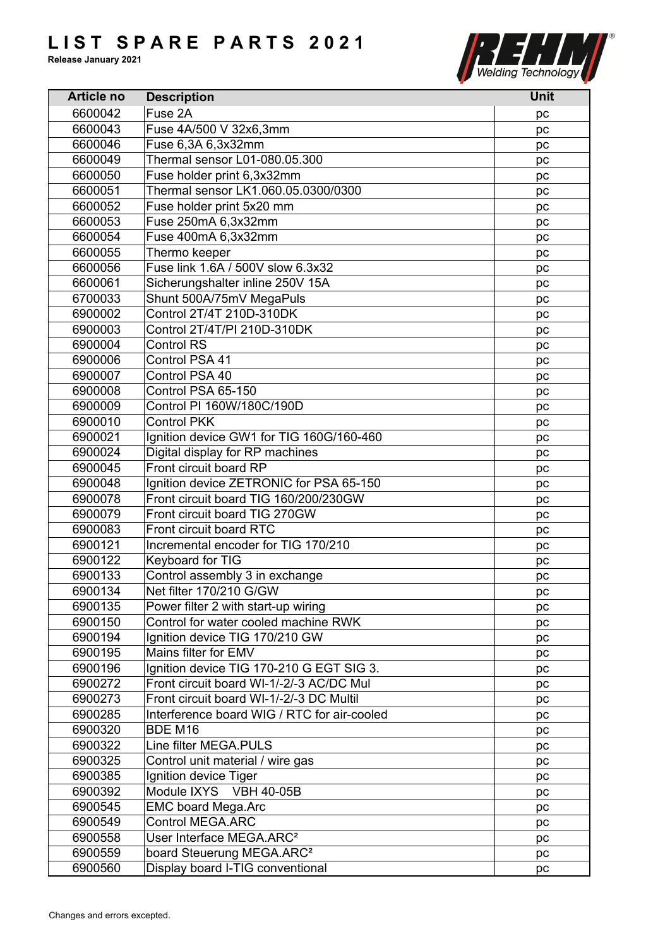

| <b>Article no</b> | <b>Description</b>                          | <b>Unit</b> |
|-------------------|---------------------------------------------|-------------|
| 6600042           | Fuse 2A                                     | pc          |
| 6600043           | Fuse 4A/500 V 32x6,3mm                      | pc          |
| 6600046           | Fuse 6,3A 6,3x32mm                          | pc          |
| 6600049           | Thermal sensor L01-080.05.300               | pc          |
| 6600050           | Fuse holder print 6,3x32mm                  | pc          |
| 6600051           | Thermal sensor LK1.060.05.0300/0300         | pc          |
| 6600052           | Fuse holder print 5x20 mm                   | pc          |
| 6600053           | Fuse 250mA 6,3x32mm                         | pc          |
| 6600054           | Fuse 400mA 6,3x32mm                         | pc          |
| 6600055           | Thermo keeper                               | pc          |
| 6600056           | Fuse link 1.6A / 500V slow 6.3x32           | pc          |
| 6600061           | Sicherungshalter inline 250V 15A            | pc          |
| 6700033           | Shunt 500A/75mV MegaPuls                    | pc          |
| 6900002           | Control 2T/4T 210D-310DK                    | pc          |
| 6900003           | Control 2T/4T/PI 210D-310DK                 |             |
| 6900004           | <b>Control RS</b>                           | pc          |
|                   |                                             | pc          |
| 6900006           | Control PSA 41                              | pc          |
| 6900007           | Control PSA 40                              | pc          |
| 6900008           | Control PSA 65-150                          | pc          |
| 6900009           | Control PI 160W/180C/190D                   | pc          |
| 6900010           | <b>Control PKK</b>                          | pc          |
| 6900021           | Ignition device GW1 for TIG 160G/160-460    | pc          |
| 6900024           | Digital display for RP machines             | pc          |
| 6900045           | Front circuit board RP                      | pc          |
| 6900048           | Ignition device ZETRONIC for PSA 65-150     | pc          |
| 6900078           | Front circuit board TIG 160/200/230GW       | pc          |
| 6900079           | Front circuit board TIG 270GW               | pc          |
| 6900083           | Front circuit board RTC                     | pc          |
| 6900121           | Incremental encoder for TIG 170/210         | pc          |
| 6900122           | Keyboard for TIG                            | pc          |
| 6900133           | Control assembly 3 in exchange              | pс          |
| 6900134           | Net filter 170/210 G/GW                     | pc          |
| 6900135           | Power filter 2 with start-up wiring         | pc          |
| 6900150           | Control for water cooled machine RWK        | рc          |
| 6900194           | Ignition device TIG 170/210 GW              | pc          |
| 6900195           | Mains filter for EMV                        | pc          |
| 6900196           | Ignition device TIG 170-210 G EGT SIG 3.    | pc          |
| 6900272           | Front circuit board WI-1/-2/-3 AC/DC Mul    | pc          |
| 6900273           | Front circuit board WI-1/-2/-3 DC Multil    | pc          |
| 6900285           | Interference board WIG / RTC for air-cooled | pc          |
| 6900320           | BDE M16                                     | pc          |
| 6900322           | Line filter MEGA.PULS                       | pc          |
| 6900325           | Control unit material / wire gas            | рc          |
| 6900385           | Ignition device Tiger                       | рc          |
| 6900392           | Module IXYS VBH 40-05B                      | pc          |
| 6900545           | <b>EMC board Mega.Arc</b>                   | pc          |
| 6900549           | <b>Control MEGA.ARC</b>                     | рc          |
| 6900558           | User Interface MEGA.ARC <sup>2</sup>        | pc          |
| 6900559           | board Steuerung MEGA.ARC <sup>2</sup>       | pc          |
| 6900560           | Display board I-TIG conventional            | pc          |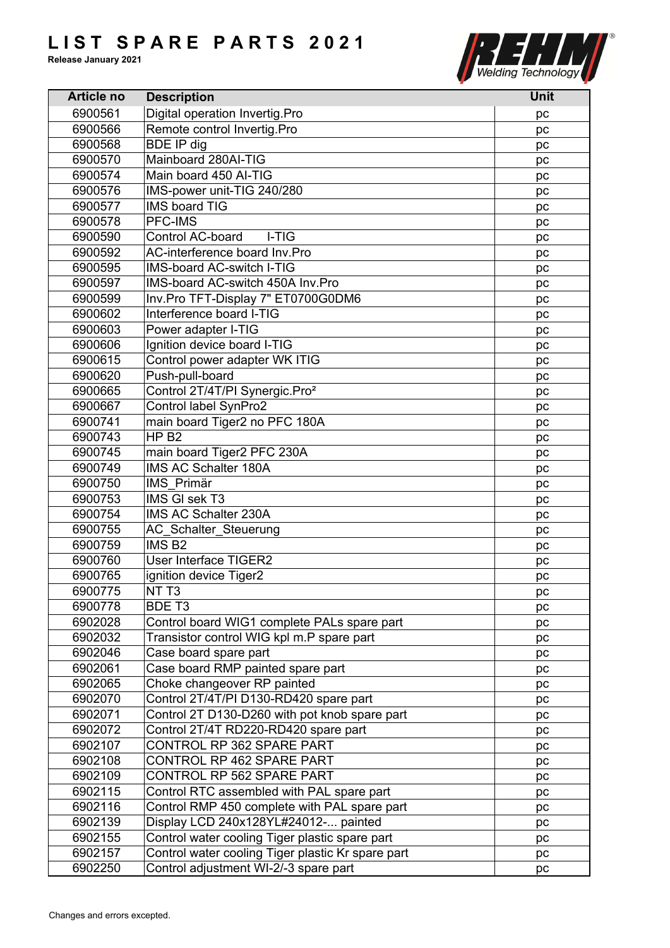

| <b>Article no</b> | <b>Description</b>                                | Unit |
|-------------------|---------------------------------------------------|------|
| 6900561           | Digital operation Invertig.Pro                    | pc   |
| 6900566           | Remote control Invertig.Pro                       | pc   |
| 6900568           | <b>BDE IP dig</b>                                 | pc   |
| 6900570           | Mainboard 280Al-TIG                               | pc   |
| 6900574           | Main board 450 Al-TIG                             | pc   |
| 6900576           | IMS-power unit-TIG 240/280                        | pc   |
| 6900577           | <b>IMS board TIG</b>                              | pc   |
| 6900578           | <b>PFC-IMS</b>                                    | pc   |
| 6900590           | <b>Control AC-board</b><br>I-TIG                  | pc   |
| 6900592           | AC-interference board Inv.Pro                     | pc   |
| 6900595           | <b>IMS-board AC-switch I-TIG</b>                  | pc   |
| 6900597           | IMS-board AC-switch 450A Inv. Pro                 | pc   |
| 6900599           | Inv.Pro TFT-Display 7" ET0700G0DM6                | pc   |
| 6900602           | Interference board I-TIG                          | pc   |
| 6900603           | Power adapter I-TIG                               | рc   |
| 6900606           | Ignition device board I-TIG                       | pc   |
| 6900615           | Control power adapter WK ITIG                     | pc   |
| 6900620           | Push-pull-board                                   | pc   |
| 6900665           | Control 2T/4T/PI Synergic.Pro <sup>2</sup>        | pc   |
| 6900667           | Control label SynPro2                             | pc   |
| 6900741           | main board Tiger2 no PFC 180A                     | pc   |
| 6900743           | HP <sub>B2</sub>                                  | pc   |
| 6900745           | main board Tiger2 PFC 230A                        | pc   |
| 6900749           | IMS AC Schalter 180A                              | pc   |
| 6900750           | IMS Primär                                        | pc   |
| 6900753           | IMS GI sek T3                                     | pc   |
| 6900754           | IMS AC Schalter 230A                              | pc   |
| 6900755           | <b>AC Schalter Steuerung</b>                      | pc   |
| 6900759           | IMS <sub>B2</sub>                                 | pc   |
| 6900760           | <b>User Interface TIGER2</b>                      | pc   |
| 6900765           | ignition device Tiger2                            | pс   |
| 6900775           | NT <sub>T3</sub>                                  | pc   |
| 6900778           | BDE T <sub>3</sub>                                | рc   |
| 6902028           | Control board WIG1 complete PALs spare part       | pc   |
| 6902032           | Transistor control WIG kpl m.P spare part         | pc   |
| 6902046           | Case board spare part                             | pc   |
| 6902061           | Case board RMP painted spare part                 | рc   |
| 6902065           | Choke changeover RP painted                       | pc   |
| 6902070           | Control 2T/4T/PI D130-RD420 spare part            | pc   |
| 6902071           | Control 2T D130-D260 with pot knob spare part     | рc   |
| 6902072           | Control 2T/4T RD220-RD420 spare part              | pc   |
| 6902107           | CONTROL RP 362 SPARE PART                         |      |
| 6902108           | CONTROL RP 462 SPARE PART                         | pc   |
| 6902109           | CONTROL RP 562 SPARE PART                         | pc   |
| 6902115           | Control RTC assembled with PAL spare part         | рc   |
|                   |                                                   | рc   |
| 6902116           | Control RMP 450 complete with PAL spare part      | pc   |
| 6902139           | Display LCD 240x128YL#24012- painted              | pc   |
| 6902155           | Control water cooling Tiger plastic spare part    | pc   |
| 6902157           | Control water cooling Tiger plastic Kr spare part | pc   |
| 6902250           | Control adjustment WI-2/-3 spare part             | pc   |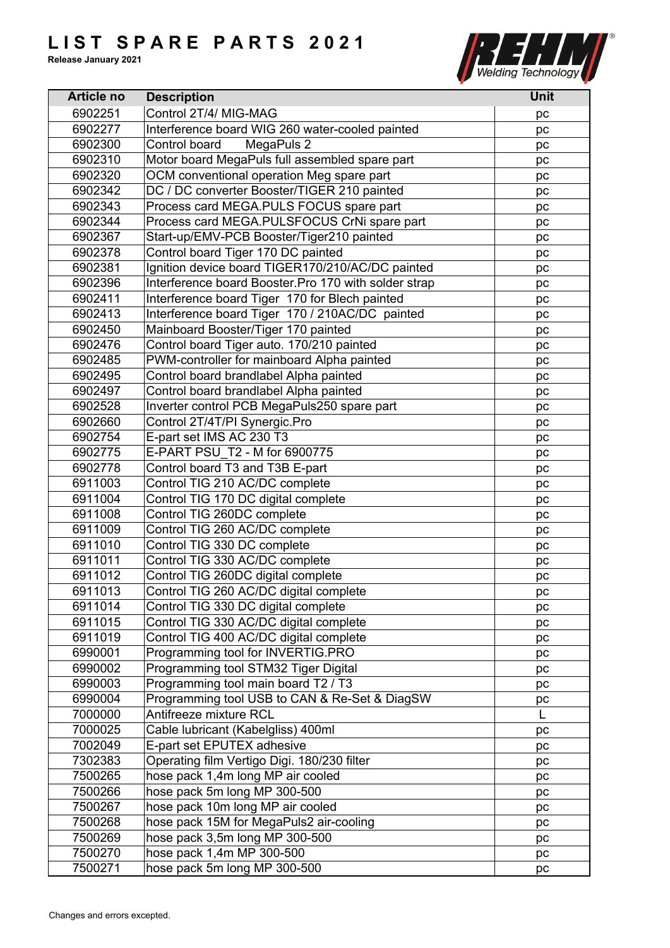

| <b>Article no</b>  | <b>Description</b>                                                        | <b>Unit</b> |
|--------------------|---------------------------------------------------------------------------|-------------|
| 6902251            | Control 2T/4/ MIG-MAG                                                     | рc          |
| 6902277            | Interference board WIG 260 water-cooled painted                           | pc          |
| 6902300            | MegaPuls 2<br>Control board                                               | pc          |
| 6902310            | Motor board MegaPuls full assembled spare part                            | рc          |
| 6902320            | OCM conventional operation Meg spare part                                 | pc          |
| 6902342            | DC / DC converter Booster/TIGER 210 painted                               | pc          |
| 6902343            | Process card MEGA.PULS FOCUS spare part                                   | pc          |
| 6902344            | Process card MEGA.PULSFOCUS CrNi spare part                               | рc          |
| 6902367            | Start-up/EMV-PCB Booster/Tiger210 painted                                 | pc          |
| 6902378            | Control board Tiger 170 DC painted                                        | pc          |
| 6902381            | Ignition device board TIGER170/210/AC/DC painted                          | pc          |
| 6902396            | Interference board Booster.Pro 170 with solder strap                      | рc          |
| 6902411            | Interference board Tiger 170 for Blech painted                            | pc          |
| 6902413            | Interference board Tiger 170 / 210AC/DC painted                           | pc          |
| 6902450            | Mainboard Booster/Tiger 170 painted                                       | pc          |
| 6902476            | Control board Tiger auto. 170/210 painted                                 | pc          |
| 6902485            | PWM-controller for mainboard Alpha painted                                | pc          |
| 6902495            | Control board brandlabel Alpha painted                                    | pc          |
| 6902497            | Control board brandlabel Alpha painted                                    | pc          |
| 6902528            | Inverter control PCB MegaPuls250 spare part                               | pc          |
| 6902660            | Control 2T/4T/PI Synergic.Pro                                             | pc          |
| 6902754            | E-part set IMS AC 230 T3                                                  | рc          |
| 6902775            | E-PART PSU T2 - M for 6900775                                             |             |
| 6902778            | Control board T3 and T3B E-part                                           | рc<br>pc    |
| 6911003            | Control TIG 210 AC/DC complete                                            |             |
| 6911004            | Control TIG 170 DC digital complete                                       | pc          |
| 6911008            | Control TIG 260DC complete                                                | рc          |
| 6911009            | Control TIG 260 AC/DC complete                                            | pc          |
| 6911010            | Control TIG 330 DC complete                                               | pc          |
| 6911011            | Control TIG 330 AC/DC complete                                            | pc          |
| 6911012            | Control TIG 260DC digital complete                                        | pc          |
|                    | Control TIG 260 AC/DC digital complete                                    | pc          |
| 6911013<br>6911014 | Control TIG 330 DC digital complete                                       | pc          |
| 6911015            | Control TIG 330 AC/DC digital complete                                    | рc          |
| 6911019            | Control TIG 400 AC/DC digital complete                                    | pc          |
| 6990001            |                                                                           | pc          |
|                    | Programming tool for INVERTIG.PRO<br>Programming tool STM32 Tiger Digital | pc          |
| 6990002            | Programming tool main board T2 / T3                                       | рc          |
| 6990003            |                                                                           | pc          |
| 6990004            | Programming tool USB to CAN & Re-Set & DiagSW<br>Antifreeze mixture RCL   | pc          |
| 7000000            |                                                                           | L           |
| 7000025            | Cable lubricant (Kabelgliss) 400ml                                        | pc          |
| 7002049            | E-part set EPUTEX adhesive                                                | pc          |
| 7302383            | Operating film Vertigo Digi. 180/230 filter                               | pc          |
| 7500265            | hose pack 1,4m long MP air cooled                                         | pc          |
| 7500266            | hose pack 5m long MP 300-500                                              | pc          |
| 7500267            | hose pack 10m long MP air cooled                                          | pс          |
| 7500268            | hose pack 15M for MegaPuls2 air-cooling                                   | рc          |
| 7500269            | hose pack 3,5m long MP 300-500                                            | pc          |
| 7500270            | hose pack 1,4m MP 300-500                                                 | pc          |
| 7500271            | hose pack 5m long MP 300-500                                              | pc          |